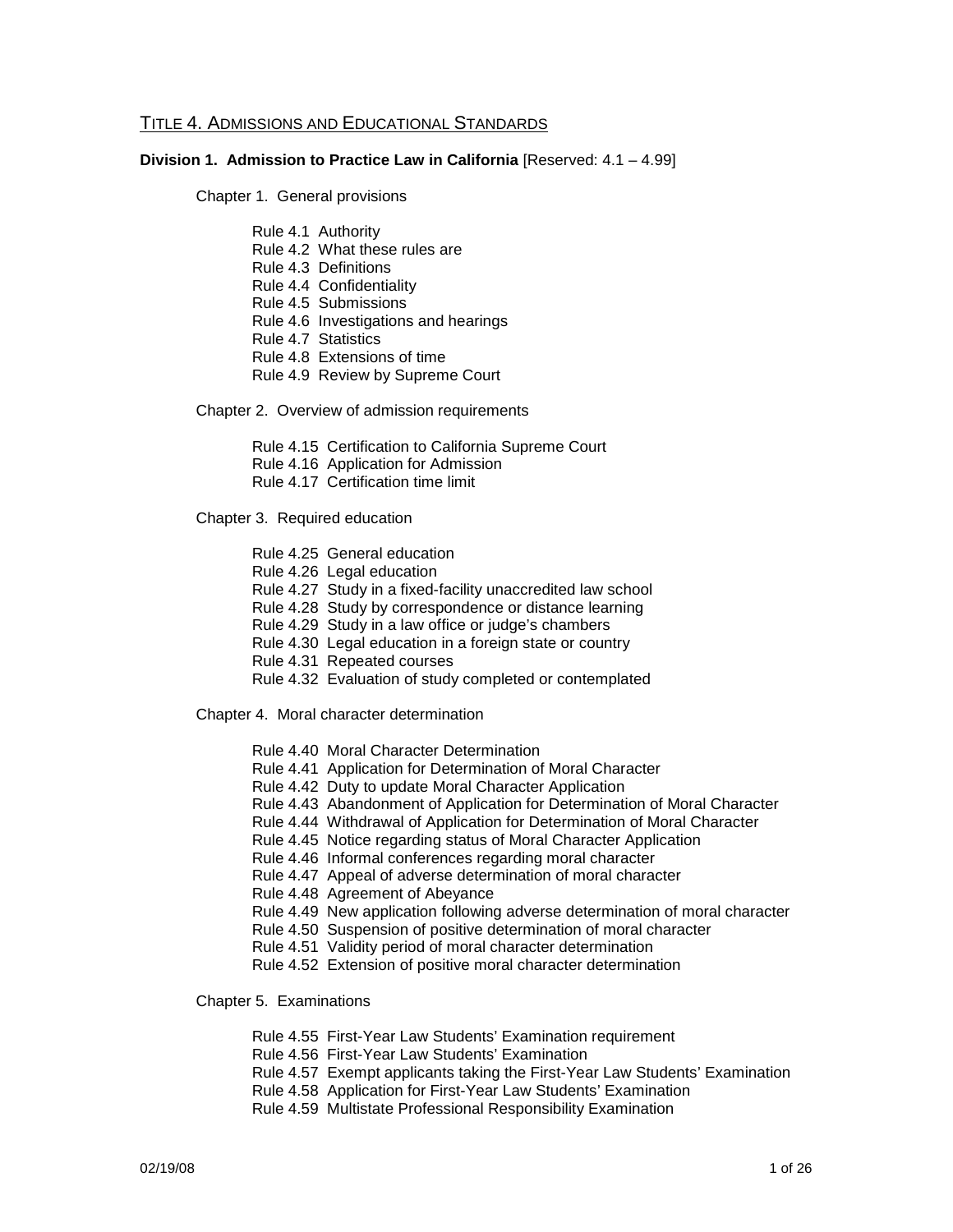#### TITLE 4. ADMISSIONS AND EDUCATIONAL STANDARDS

#### **Division 1. Admission to Practice Law in California** [Reserved: 4.1 – 4.99]

Chapter 1. General provisions

- Rule 4.1 Authority
- Rule 4.2 What these rules are
- Rule 4.3 Definitions
- Rule 4.4 Confidentiality
- Rule 4.5 Submissions
- Rule 4.6 Investigations and hearings
- Rule 4.7 Statistics
- Rule 4.8 Extensions of time
- Rule 4.9 Review by Supreme Court

Chapter 2. Overview of admission requirements

- Rule 4.15 Certification to California Supreme Court
- Rule 4.16 Application for Admission
- Rule 4.17 Certification time limit

Chapter 3. Required education

- Rule 4.25 General education
- Rule 4.26 Legal education
- Rule 4.27 Study in a fixed-facility unaccredited law school
- Rule 4.28 Study by correspondence or distance learning
- Rule 4.29 Study in a law office or judge's chambers
- Rule 4.30 Legal education in a foreign state or country
- Rule 4.31 Repeated courses
- Rule 4.32 Evaluation of study completed or contemplated
- Chapter 4. Moral character determination
	- Rule 4.40 Moral Character Determination
	- Rule 4.41 Application for Determination of Moral Character
	- Rule 4.42 Duty to update Moral Character Application
	- Rule 4.43 Abandonment of Application for Determination of Moral Character
	- Rule 4.44 Withdrawal of Application for Determination of Moral Character
	- Rule 4.45 Notice regarding status of Moral Character Application
	- Rule 4.46 Informal conferences regarding moral character
	- Rule 4.47 Appeal of adverse determination of moral character
	- Rule 4.48 Agreement of Abeyance
	- Rule 4.49 New application following adverse determination of moral character
	- Rule 4.50 Suspension of positive determination of moral character
	- Rule 4.51 Validity period of moral character determination
	- Rule 4.52 Extension of positive moral character determination

Chapter 5. Examinations

- Rule 4.55 First-Year Law Students' Examination requirement
- Rule 4.56 First-Year Law Students' Examination
- Rule 4.57 Exempt applicants taking the First-Year Law Students' Examination
- Rule 4.58 Application for First-Year Law Students' Examination
- Rule 4.59 Multistate Professional Responsibility Examination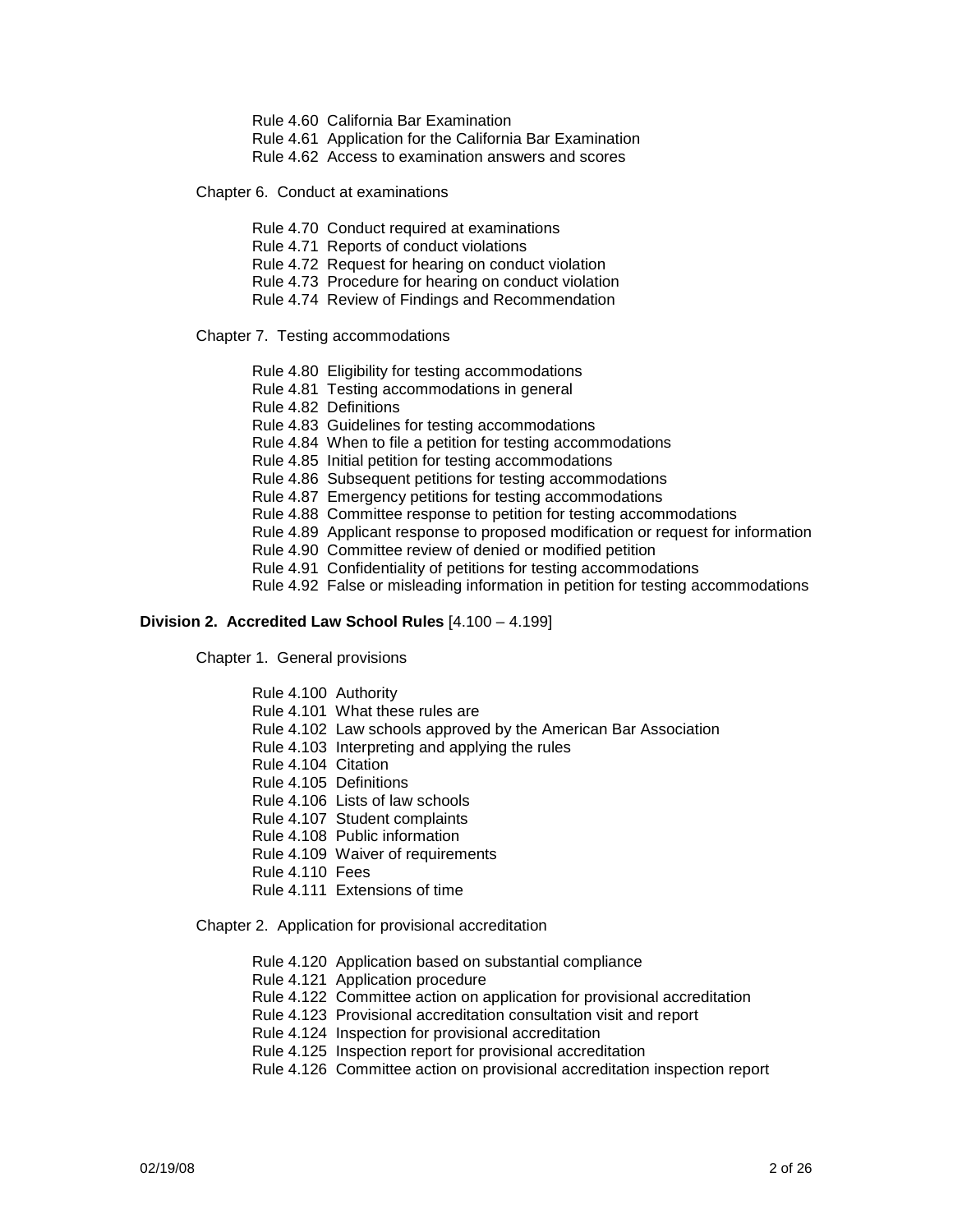- Rule 4.60 California Bar Examination
- Rule 4.61 Application for the California Bar Examination
- Rule 4.62 Access to examination answers and scores

Chapter 6. Conduct at examinations

- Rule 4.70 Conduct required at examinations
- Rule 4.71 Reports of conduct violations
- Rule 4.72 Request for hearing on conduct violation
- Rule 4.73 Procedure for hearing on conduct violation
- Rule 4.74 Review of Findings and Recommendation

Chapter 7. Testing accommodations

- Rule 4.80 Eligibility for testing accommodations
- Rule 4.81 Testing accommodations in general
- Rule 4.82 Definitions
- Rule 4.83 Guidelines for testing accommodations
- Rule 4.84 When to file a petition for testing accommodations
- Rule 4.85 Initial petition for testing accommodations
- Rule 4.86 Subsequent petitions for testing accommodations
- Rule 4.87 Emergency petitions for testing accommodations
- Rule 4.88 Committee response to petition for testing accommodations
- Rule 4.89 Applicant response to proposed modification or request for information
- Rule 4.90 Committee review of denied or modified petition
- Rule 4.91 Confidentiality of petitions for testing accommodations
- Rule 4.92 False or misleading information in petition for testing accommodations

#### **Division 2. Accredited Law School Rules** [4.100 – 4.199]

Chapter 1. General provisions

Rule 4.100 Authority

- Rule 4.101 What these rules are
- Rule 4.102 Law schools approved by the American Bar Association
- Rule 4.103 Interpreting and applying the rules
- Rule 4.104 Citation
- Rule 4.105 Definitions
- Rule 4.106 Lists of law schools
- Rule 4.107 Student complaints
- Rule 4.108 Public information
- Rule 4.109 Waiver of requirements
- Rule 4.110 Fees
- Rule 4.111 Extensions of time

Chapter 2. Application for provisional accreditation

- Rule 4.120 Application based on substantial compliance
- Rule 4.121 Application procedure
- Rule 4.122 Committee action on application for provisional accreditation
- Rule 4.123 Provisional accreditation consultation visit and report
- Rule 4.124 Inspection for provisional accreditation
- Rule 4.125 Inspection report for provisional accreditation
- Rule 4.126 Committee action on provisional accreditation inspection report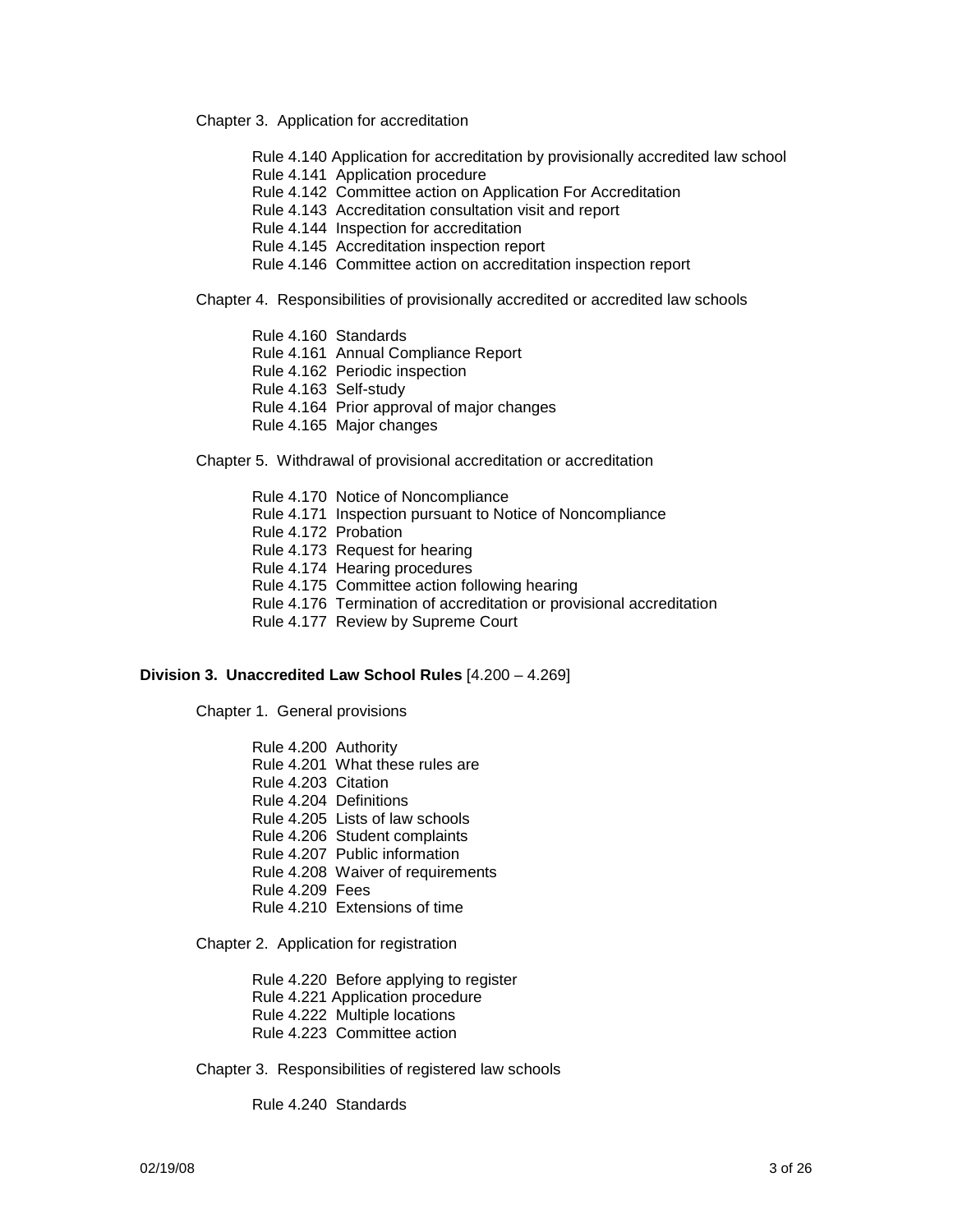Chapter 3. Application for accreditation

- Rule 4.140 Application for accreditation by provisionally accredited law school
- Rule 4.141 Application procedure
- Rule 4.142 Committee action on Application For Accreditation
- Rule 4.143 Accreditation consultation visit and report
- Rule 4.144 Inspection for accreditation
- Rule 4.145 Accreditation inspection report
- Rule 4.146 Committee action on accreditation inspection report

Chapter 4. Responsibilities of provisionally accredited or accredited law schools

- Rule 4.160 Standards
- Rule 4.161 Annual Compliance Report
- Rule 4.162 Periodic inspection
- Rule 4.163 Self-study
- Rule 4.164 Prior approval of major changes
- Rule 4.165 Major changes

Chapter 5. Withdrawal of provisional accreditation or accreditation

- Rule 4.170 Notice of Noncompliance
- Rule 4.171 Inspection pursuant to Notice of Noncompliance
- Rule 4.172 Probation
- Rule 4.173 Request for hearing
- Rule 4.174 Hearing procedures
- Rule 4.175 Committee action following hearing
- Rule 4.176 Termination of accreditation or provisional accreditation
- Rule 4.177 Review by Supreme Court

#### **Division 3. Unaccredited Law School Rules** [4.200 – 4.269]

Chapter 1. General provisions

- Rule 4.200 Authority
- Rule 4.201 What these rules are
- Rule 4.203 Citation
- Rule 4.204 Definitions
- Rule 4.205 Lists of law schools
- Rule 4.206 Student complaints
- Rule 4.207 Public information
- Rule 4.208 Waiver of requirements
- Rule 4.209 Fees
- Rule 4.210 Extensions of time

Chapter 2. Application for registration

Rule 4.220 Before applying to register

- Rule 4.221 Application procedure
- Rule 4.222 Multiple locations
- Rule 4.223 Committee action

Chapter 3. Responsibilities of registered law schools

Rule 4.240 Standards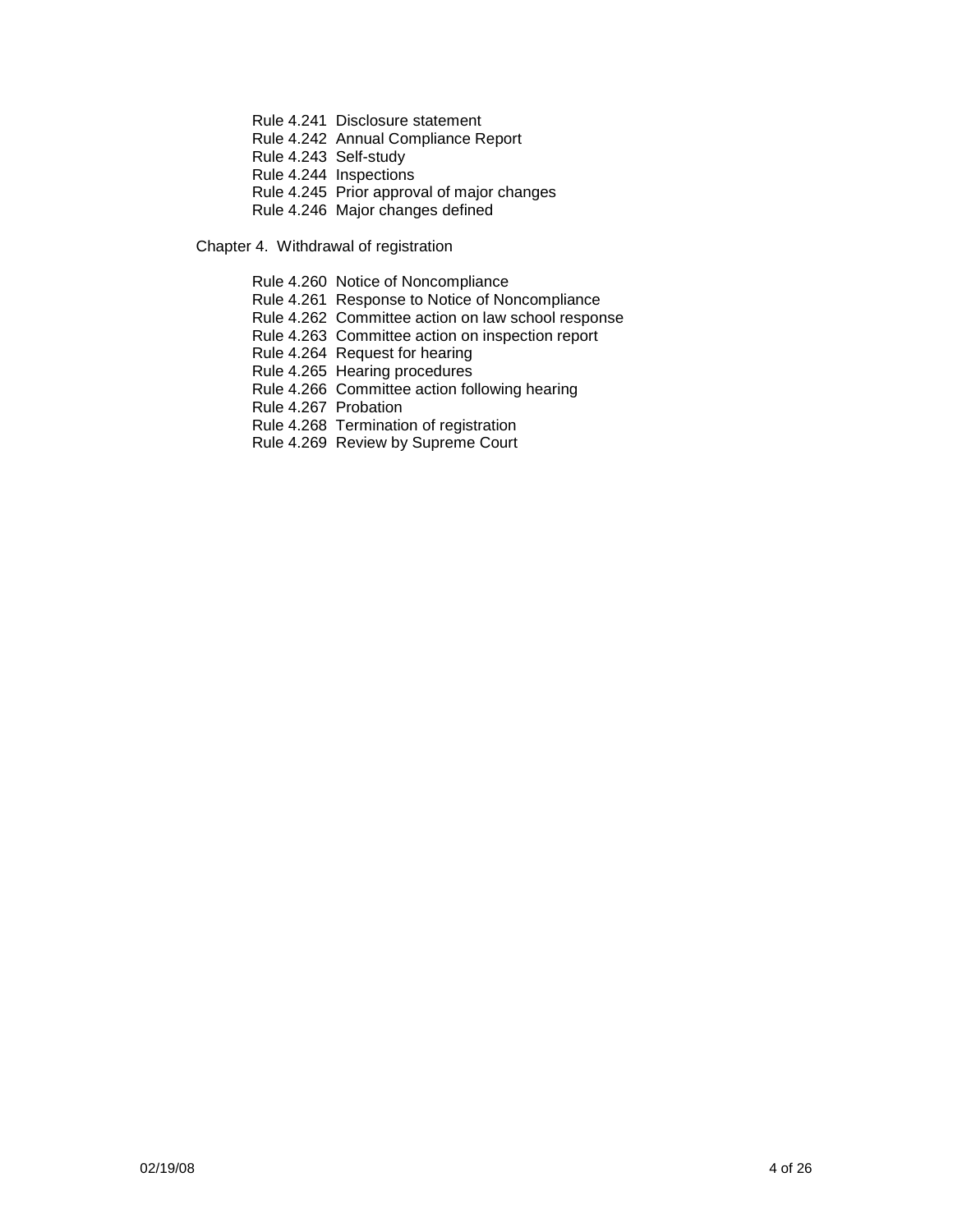- Rule 4.241 Disclosure statement
- Rule 4.242 Annual Compliance Report
- Rule 4.243 Self-study
- Rule 4.244 Inspections
- Rule 4.245 Prior approval of major changes
- Rule 4.246 Major changes defined

Chapter 4. Withdrawal of registration

- Rule 4.260 Notice of Noncompliance
- Rule 4.261 Response to Notice of Noncompliance
- Rule 4.262 Committee action on law school response
- Rule 4.263 Committee action on inspection report
- Rule 4.264 Request for hearing
- Rule 4.265 Hearing procedures
- Rule 4.266 Committee action following hearing
- Rule 4.267 Probation
- Rule 4.268 Termination of registration
- Rule 4.269 Review by Supreme Court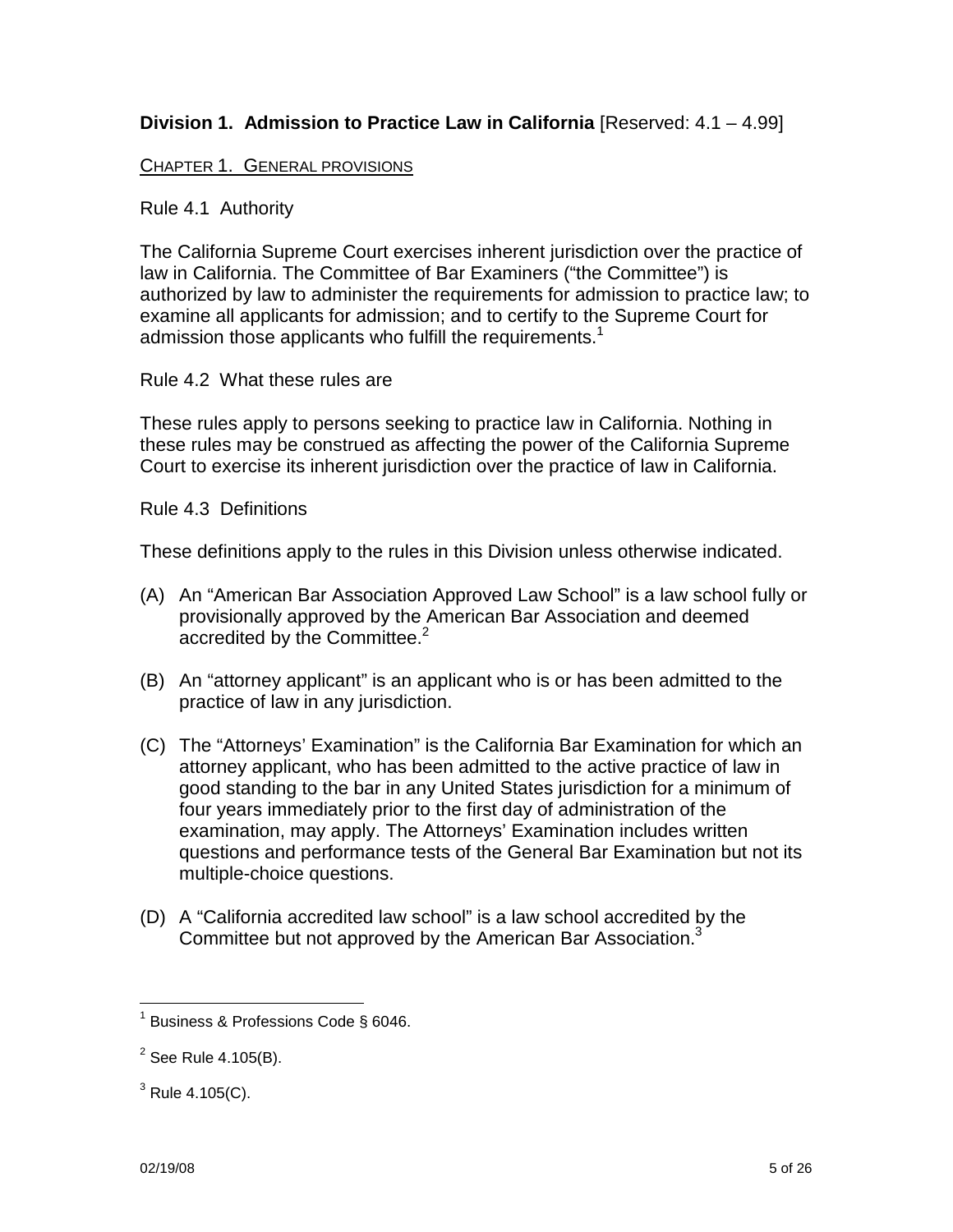# **Division 1. Admission to Practice Law in California** [Reserved: 4.1 – 4.99]

# CHAPTER 1. GENERAL PROVISIONS

## Rule 4.1 Authority

The California Supreme Court exercises inherent jurisdiction over the practice of law in California. The Committee of Bar Examiners ("the Committee") is authorized by law to administer the requirements for admission to practice law; to examine all applicants for admission; and to certify to the Supreme Court for admission those applicants who fulfill the requirements.<sup>1</sup>

#### Rule 4.2 What these rules are

These rules apply to persons seeking to practice law in California. Nothing in these rules may be construed as affecting the power of the California Supreme Court to exercise its inherent jurisdiction over the practice of law in California.

#### Rule 4.3 Definitions

These definitions apply to the rules in this Division unless otherwise indicated.

- (A) An "American Bar Association Approved Law School" is a law school fully or provisionally approved by the American Bar Association and deemed accredited by the Committee.<sup>2</sup>
- (B) An "attorney applicant" is an applicant who is or has been admitted to the practice of law in any jurisdiction.
- (C) The "Attorneys' Examination" is the California Bar Examination for which an attorney applicant, who has been admitted to the active practice of law in good standing to the bar in any United States jurisdiction for a minimum of four years immediately prior to the first day of administration of the examination, may apply. The Attorneys' Examination includes written questions and performance tests of the General Bar Examination but not its multiple-choice questions.
- (D) A "California accredited law school" is a law school accredited by the Committee but not approved by the American Bar Association.<sup>3</sup>

 $1$  Business & Professions Code § 6046.

 $2$  See Rule 4.105(B).

 $3$  Rule 4.105(C).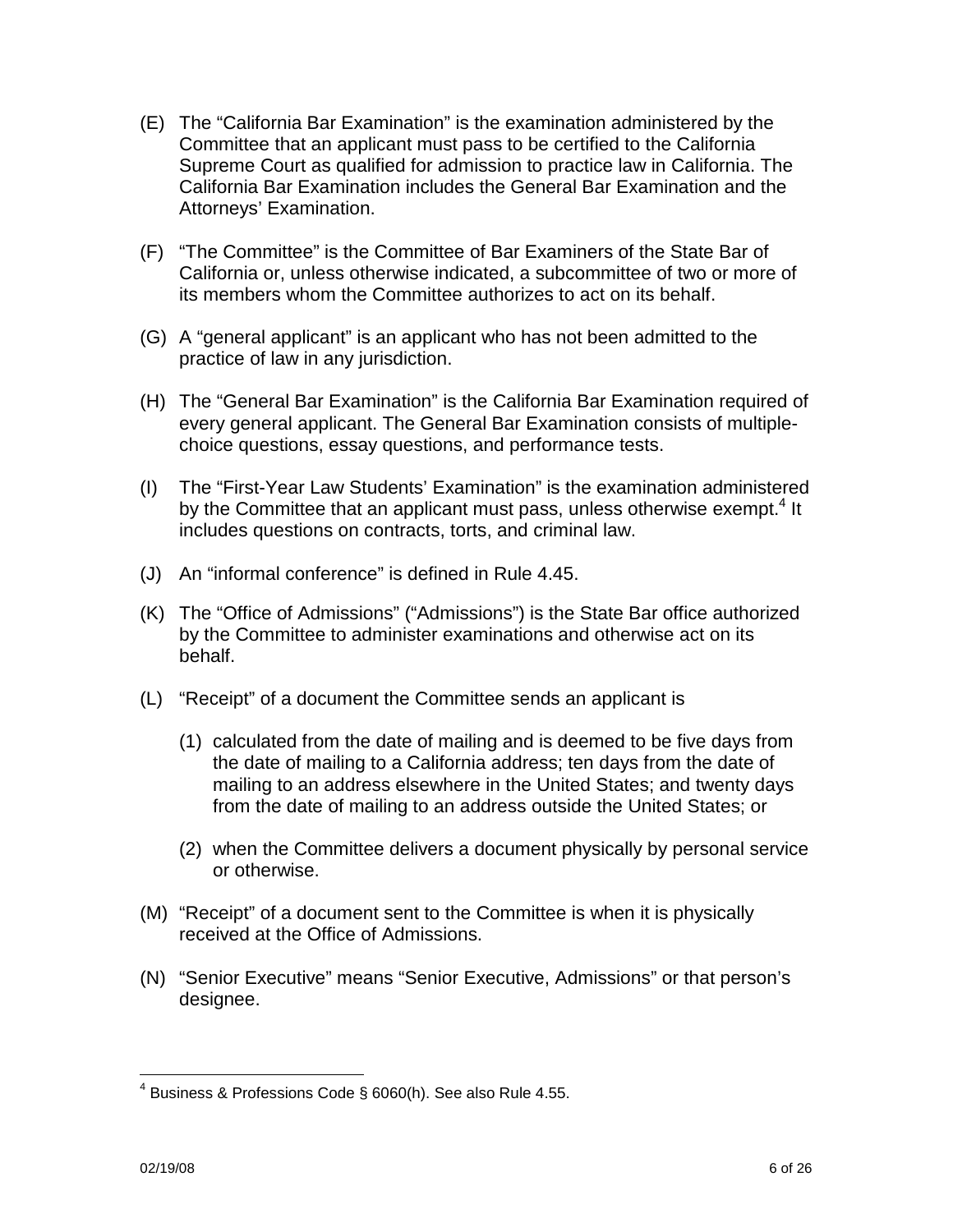- (E) The "California Bar Examination" is the examination administered by the Committee that an applicant must pass to be certified to the California Supreme Court as qualified for admission to practice law in California. The California Bar Examination includes the General Bar Examination and the Attorneys' Examination.
- (F) "The Committee" is the Committee of Bar Examiners of the State Bar of California or, unless otherwise indicated, a subcommittee of two or more of its members whom the Committee authorizes to act on its behalf.
- (G) A "general applicant" is an applicant who has not been admitted to the practice of law in any jurisdiction.
- (H) The "General Bar Examination" is the California Bar Examination required of every general applicant. The General Bar Examination consists of multiplechoice questions, essay questions, and performance tests.
- (I) The "First-Year Law Students' Examination" is the examination administered by the Committee that an applicant must pass, unless otherwise exempt.<sup>4</sup> It includes questions on contracts, torts, and criminal law.
- (J) An "informal conference" is defined in Rule 4.45.
- (K) The "Office of Admissions" ("Admissions") is the State Bar office authorized by the Committee to administer examinations and otherwise act on its behalf.
- (L) "Receipt" of a document the Committee sends an applicant is
	- (1) calculated from the date of mailing and is deemed to be five days from the date of mailing to a California address; ten days from the date of mailing to an address elsewhere in the United States; and twenty days from the date of mailing to an address outside the United States; or
	- (2) when the Committee delivers a document physically by personal service or otherwise.
- (M) "Receipt" of a document sent to the Committee is when it is physically received at the Office of Admissions.
- (N) "Senior Executive" means "Senior Executive, Admissions" or that person's designee.

 $4$  Business & Professions Code § 6060(h). See also Rule 4.55.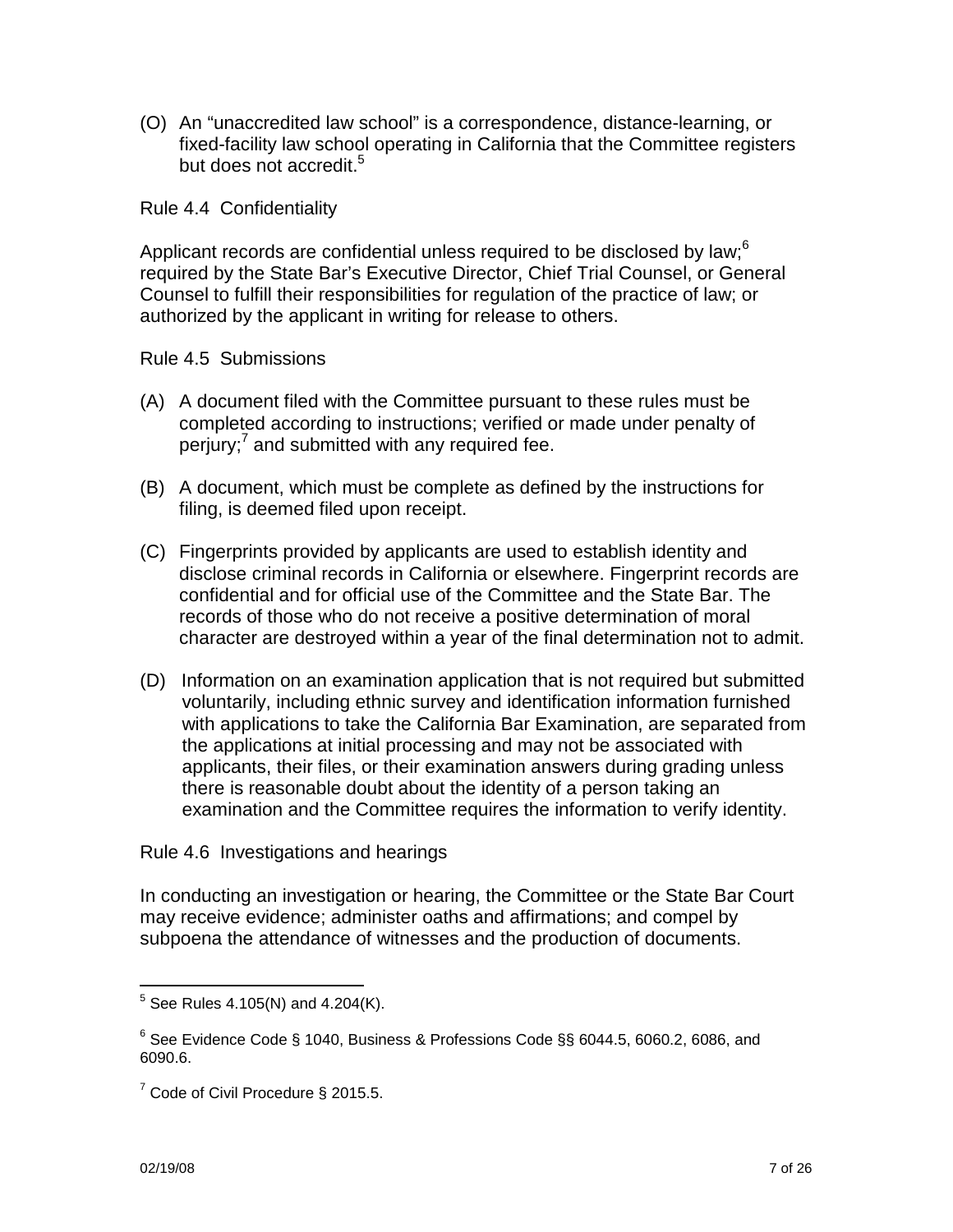(O) An "unaccredited law school" is a correspondence, distance-learning, or fixed-facility law school operating in California that the Committee registers but does not accredit.<sup>5</sup>

Rule 4.4 Confidentiality

Applicant records are confidential unless required to be disclosed by law;  $6$ required by the State Bar's Executive Director, Chief Trial Counsel, or General Counsel to fulfill their responsibilities for regulation of the practice of law; or authorized by the applicant in writing for release to others.

Rule 4.5 Submissions

- (A) A document filed with the Committee pursuant to these rules must be completed according to instructions; verified or made under penalty of perjury;<sup>7</sup> and submitted with any required fee.
- (B) A document, which must be complete as defined by the instructions for filing, is deemed filed upon receipt.
- (C) Fingerprints provided by applicants are used to establish identity and disclose criminal records in California or elsewhere. Fingerprint records are confidential and for official use of the Committee and the State Bar. The records of those who do not receive a positive determination of moral character are destroyed within a year of the final determination not to admit.
- (D) Information on an examination application that is not required but submitted voluntarily, including ethnic survey and identification information furnished with applications to take the California Bar Examination, are separated from the applications at initial processing and may not be associated with applicants, their files, or their examination answers during grading unless there is reasonable doubt about the identity of a person taking an examination and the Committee requires the information to verify identity.

# Rule 4.6 Investigations and hearings

In conducting an investigation or hearing, the Committee or the State Bar Court may receive evidence; administer oaths and affirmations; and compel by subpoena the attendance of witnesses and the production of documents.

 $^5$  See Rules 4.105(N) and 4.204(K).

 $^6$  See Evidence Code § 1040, Business & Professions Code §§ 6044.5, 6060.2, 6086, and 6090.6.

<sup>&</sup>lt;sup>7</sup> Code of Civil Procedure § 2015.5.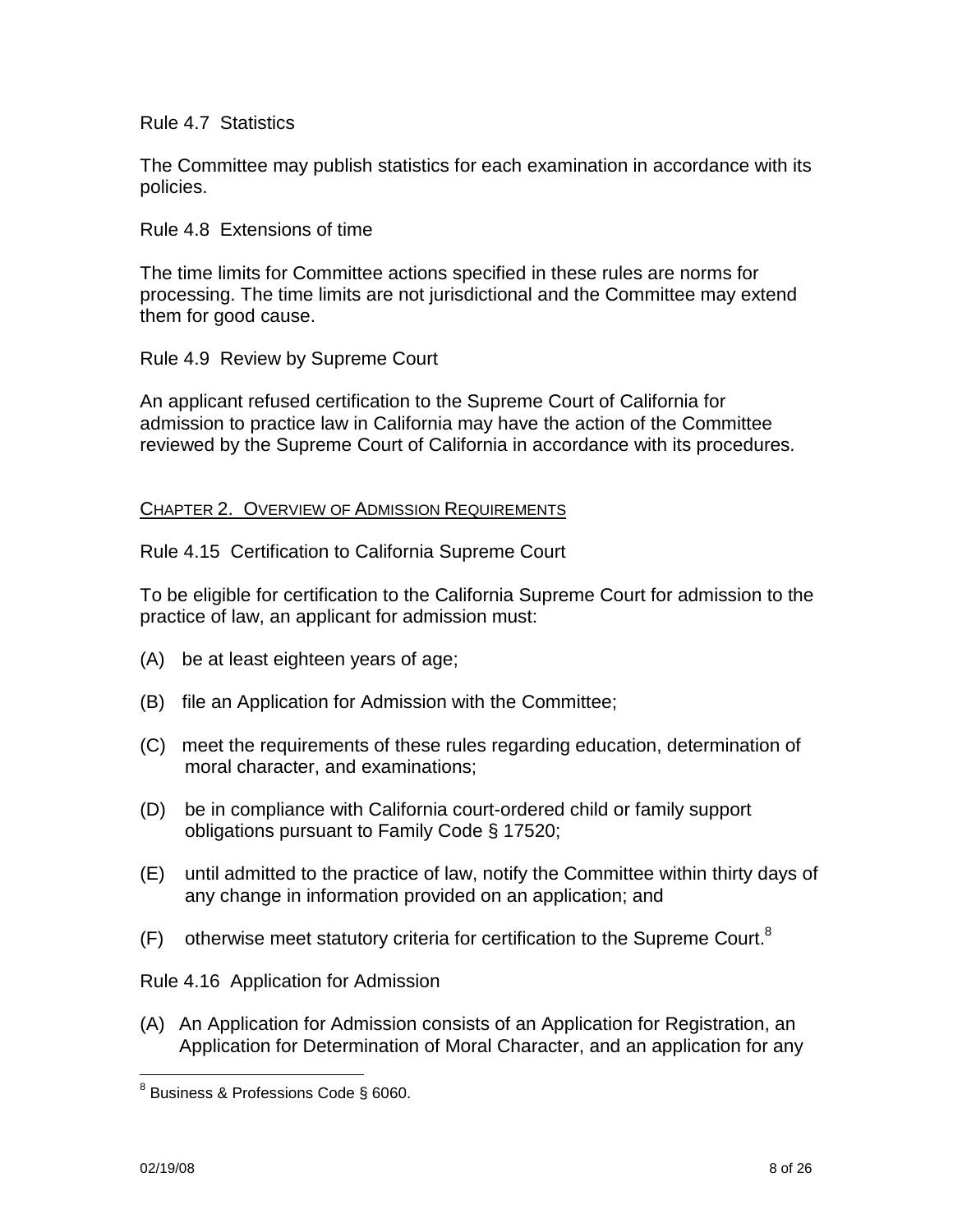Rule 4.7 Statistics

The Committee may publish statistics for each examination in accordance with its policies.

Rule 4.8 Extensions of time

The time limits for Committee actions specified in these rules are norms for processing. The time limits are not jurisdictional and the Committee may extend them for good cause.

Rule 4.9 Review by Supreme Court

An applicant refused certification to the Supreme Court of California for admission to practice law in California may have the action of the Committee reviewed by the Supreme Court of California in accordance with its procedures.

## CHAPTER 2. OVERVIEW OF ADMISSION REQUIREMENTS

Rule 4.15 Certification to California Supreme Court

To be eligible for certification to the California Supreme Court for admission to the practice of law, an applicant for admission must:

- (A) be at least eighteen years of age;
- (B) file an Application for Admission with the Committee;
- (C) meet the requirements of these rules regarding education, determination of moral character, and examinations;
- (D) be in compliance with California court-ordered child or family support obligations pursuant to Family Code § 17520;
- (E) until admitted to the practice of law, notify the Committee within thirty days of any change in information provided on an application; and
- $(F)$  otherwise meet statutory criteria for certification to the Supreme Court.<sup>8</sup>

Rule 4.16 Application for Admission

(A) An Application for Admission consists of an Application for Registration, an Application for Determination of Moral Character, and an application for any

<sup>&</sup>lt;sup>8</sup> Business & Professions Code § 6060.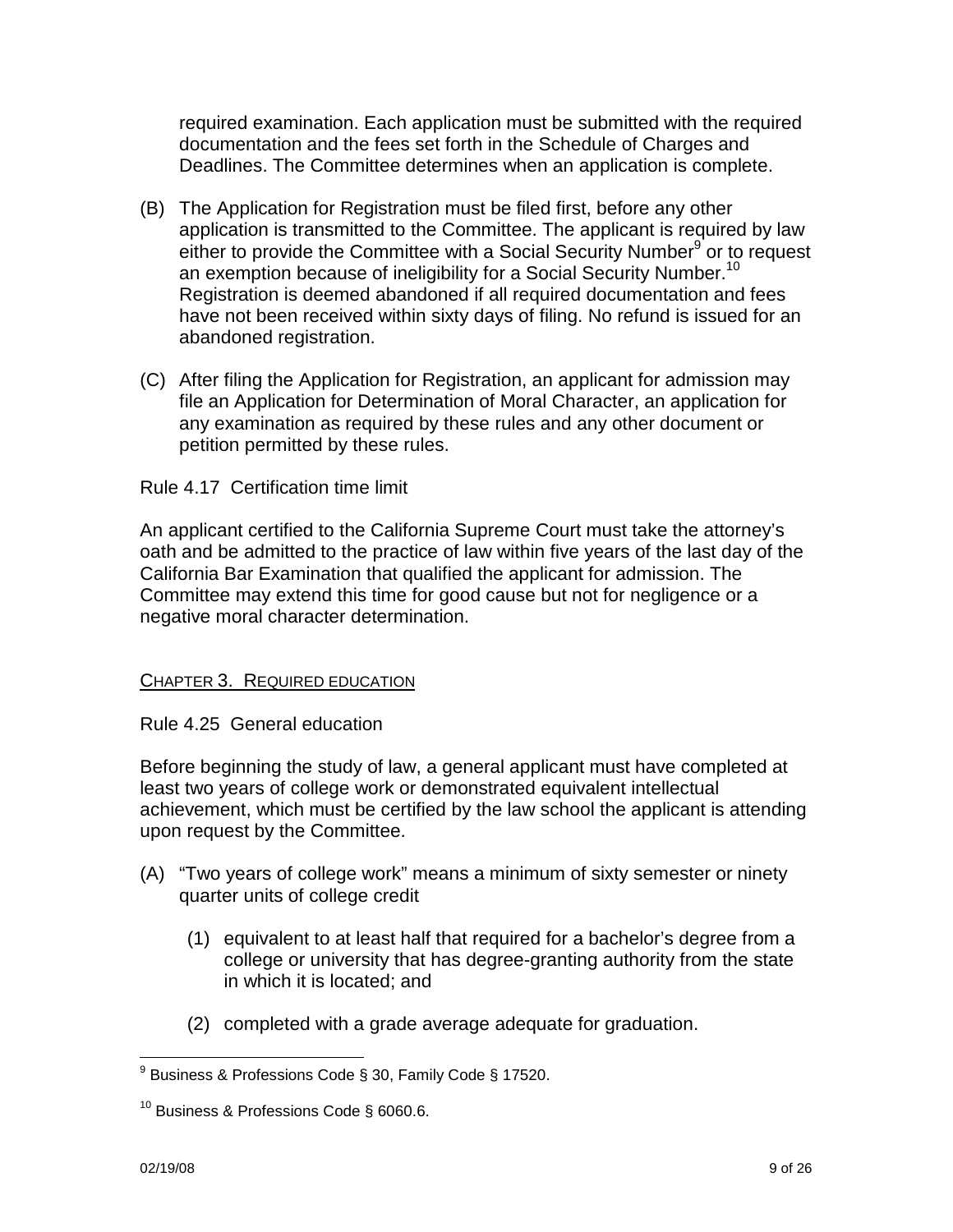required examination. Each application must be submitted with the required documentation and the fees set forth in the Schedule of Charges and Deadlines. The Committee determines when an application is complete.

- (B) The Application for Registration must be filed first, before any other application is transmitted to the Committee. The applicant is required by law either to provide the Committee with a Social Security Number<sup>9</sup> or to request an exemption because of ineligibility for a Social Security Number.<sup>10</sup> Registration is deemed abandoned if all required documentation and fees have not been received within sixty days of filing. No refund is issued for an abandoned registration.
- (C) After filing the Application for Registration, an applicant for admission may file an Application for Determination of Moral Character, an application for any examination as required by these rules and any other document or petition permitted by these rules.

# Rule 4.17 Certification time limit

An applicant certified to the California Supreme Court must take the attorney's oath and be admitted to the practice of law within five years of the last day of the California Bar Examination that qualified the applicant for admission. The Committee may extend this time for good cause but not for negligence or a negative moral character determination.

# CHAPTER 3. REQUIRED EDUCATION

Rule 4.25 General education

Before beginning the study of law, a general applicant must have completed at least two years of college work or demonstrated equivalent intellectual achievement, which must be certified by the law school the applicant is attending upon request by the Committee.

- (A) "Two years of college work" means a minimum of sixty semester or ninety quarter units of college credit
	- (1) equivalent to at least half that required for a bachelor's degree from a college or university that has degree-granting authority from the state in which it is located; and
	- (2) completed with a grade average adequate for graduation.

<sup>&</sup>lt;sup>9</sup> Business & Professions Code § 30, Family Code § 17520.

 $10$  Business & Professions Code § 6060.6.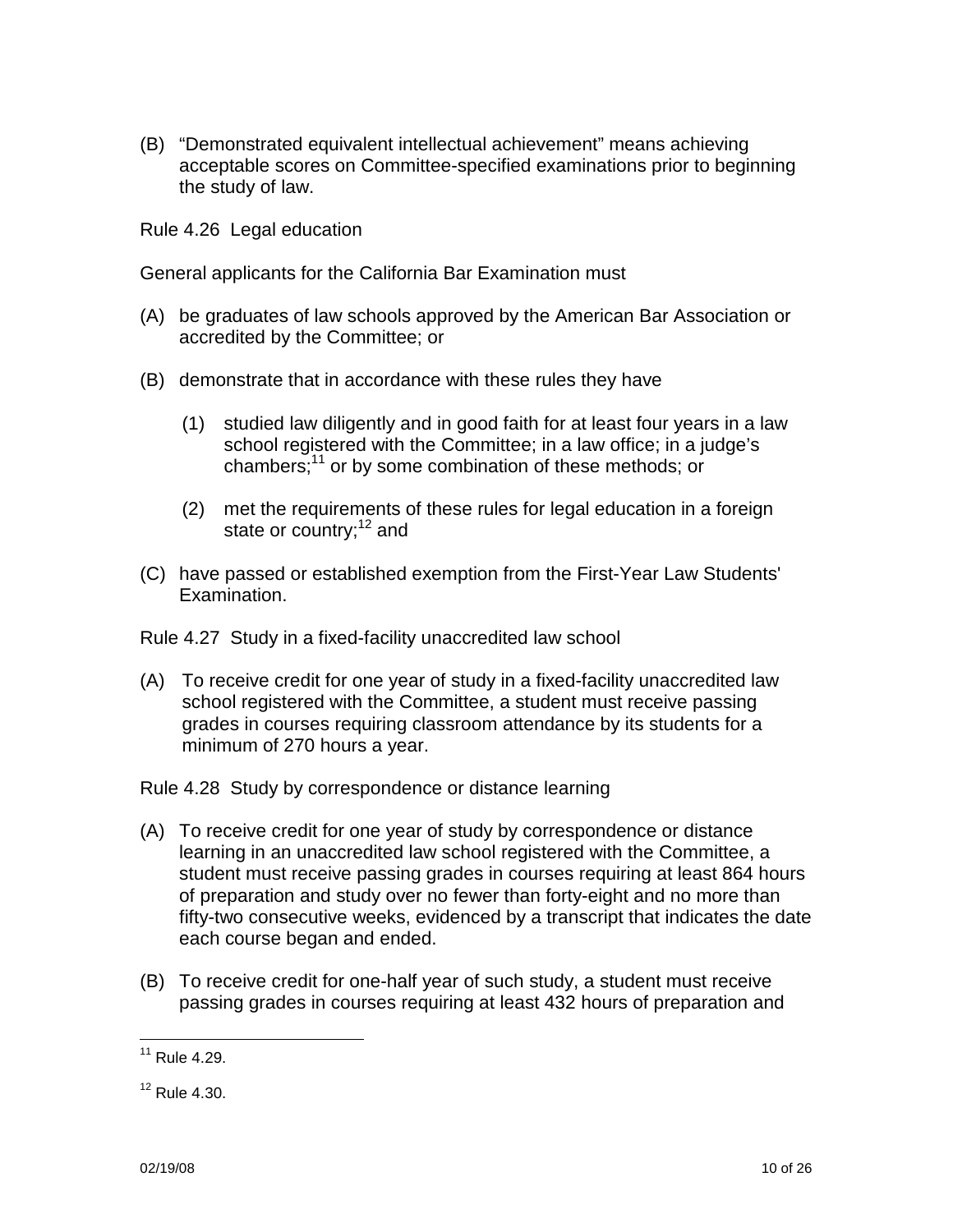(B) "Demonstrated equivalent intellectual achievement" means achieving acceptable scores on Committee-specified examinations prior to beginning the study of law.

Rule 4.26 Legal education

General applicants for the California Bar Examination must

- (A) be graduates of law schools approved by the American Bar Association or accredited by the Committee; or
- (B) demonstrate that in accordance with these rules they have
	- (1) studied law diligently and in good faith for at least four years in a law school registered with the Committee; in a law office; in a judge's chambers;<sup>11</sup> or by some combination of these methods; or
	- (2) met the requirements of these rules for legal education in a foreign state or country;<sup>12</sup> and
- (C) have passed or established exemption from the First-Year Law Students' Examination.

Rule 4.27 Study in a fixed-facility unaccredited law school

(A) To receive credit for one year of study in a fixed-facility unaccredited law school registered with the Committee, a student must receive passing grades in courses requiring classroom attendance by its students for a minimum of 270 hours a year.

Rule 4.28 Study by correspondence or distance learning

- (A) To receive credit for one year of study by correspondence or distance learning in an unaccredited law school registered with the Committee, a student must receive passing grades in courses requiring at least 864 hours of preparation and study over no fewer than forty-eight and no more than fifty-two consecutive weeks, evidenced by a transcript that indicates the date each course began and ended.
- (B) To receive credit for one-half year of such study, a student must receive passing grades in courses requiring at least 432 hours of preparation and

 $11$  Rule 4.29.

 $12$  Rule 4.30.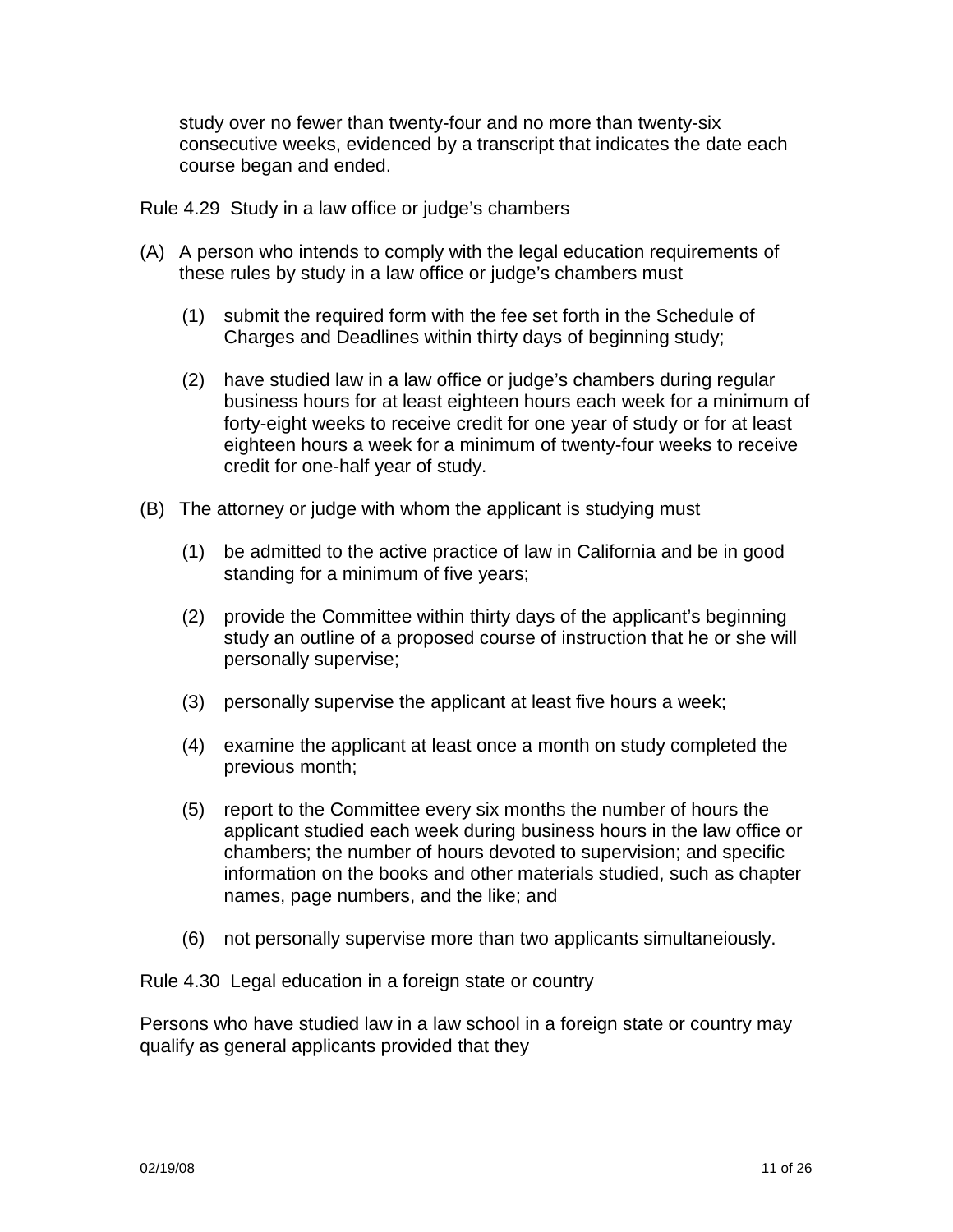study over no fewer than twenty-four and no more than twenty-six consecutive weeks, evidenced by a transcript that indicates the date each course began and ended.

Rule 4.29 Study in a law office or judge's chambers

- (A) A person who intends to comply with the legal education requirements of these rules by study in a law office or judge's chambers must
	- (1) submit the required form with the fee set forth in the Schedule of Charges and Deadlines within thirty days of beginning study;
	- (2) have studied law in a law office or judge's chambers during regular business hours for at least eighteen hours each week for a minimum of forty-eight weeks to receive credit for one year of study or for at least eighteen hours a week for a minimum of twenty-four weeks to receive credit for one-half year of study.
- (B) The attorney or judge with whom the applicant is studying must
	- (1) be admitted to the active practice of law in California and be in good standing for a minimum of five years;
	- (2) provide the Committee within thirty days of the applicant's beginning study an outline of a proposed course of instruction that he or she will personally supervise;
	- (3) personally supervise the applicant at least five hours a week;
	- (4) examine the applicant at least once a month on study completed the previous month;
	- (5) report to the Committee every six months the number of hours the applicant studied each week during business hours in the law office or chambers; the number of hours devoted to supervision; and specific information on the books and other materials studied, such as chapter names, page numbers, and the like; and
	- (6) not personally supervise more than two applicants simultaneiously.

Rule 4.30 Legal education in a foreign state or country

Persons who have studied law in a law school in a foreign state or country may qualify as general applicants provided that they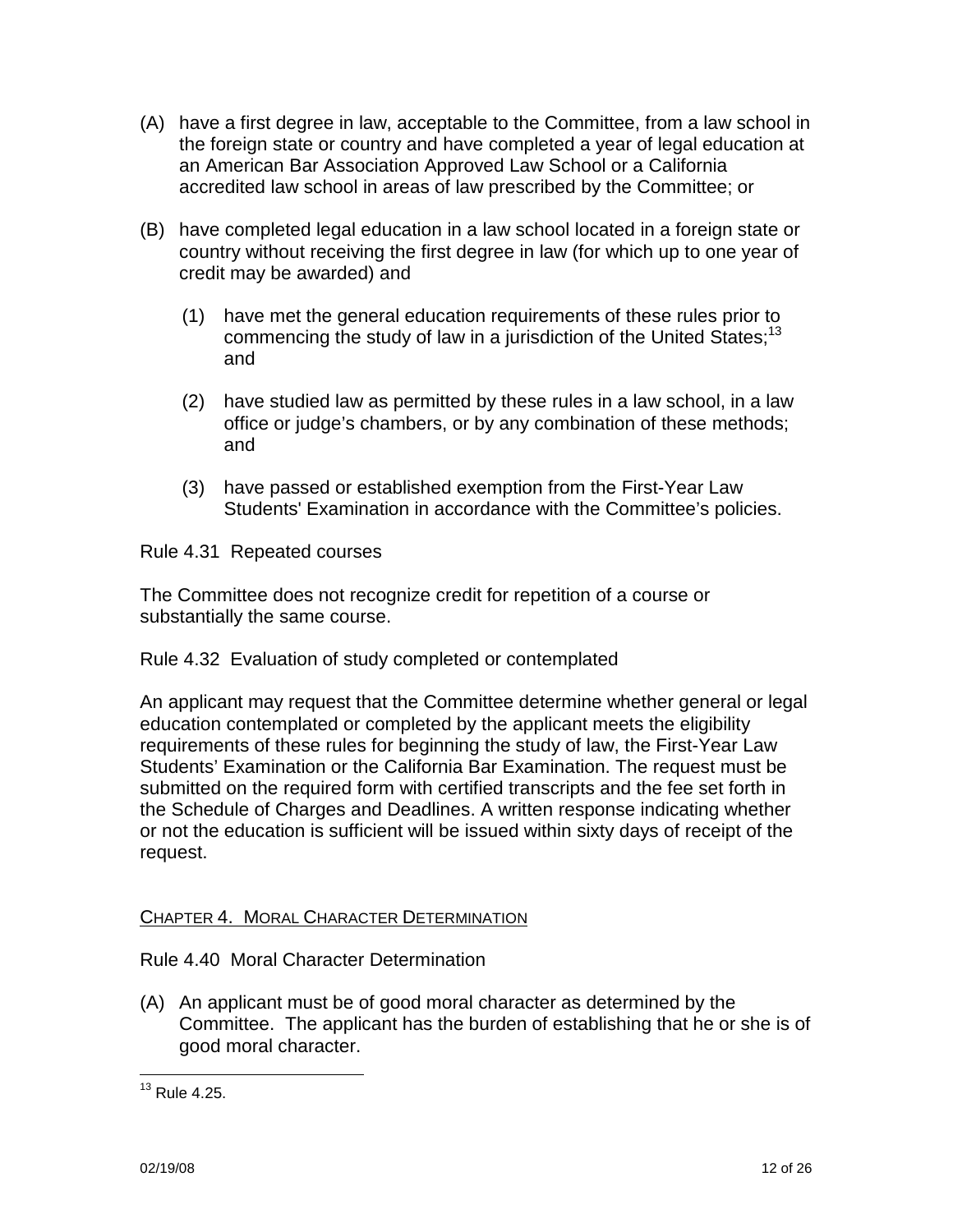- (A) have a first degree in law, acceptable to the Committee, from a law school in the foreign state or country and have completed a year of legal education at an American Bar Association Approved Law School or a California accredited law school in areas of law prescribed by the Committee; or
- (B) have completed legal education in a law school located in a foreign state or country without receiving the first degree in law (for which up to one year of credit may be awarded) and
	- (1) have met the general education requirements of these rules prior to commencing the study of law in a jurisdiction of the United States;<sup>13</sup> and
	- (2) have studied law as permitted by these rules in a law school, in a law office or judge's chambers, or by any combination of these methods; and
	- (3) have passed or established exemption from the First-Year Law Students' Examination in accordance with the Committee's policies.

Rule 4.31 Repeated courses

The Committee does not recognize credit for repetition of a course or substantially the same course.

Rule 4.32 Evaluation of study completed or contemplated

An applicant may request that the Committee determine whether general or legal education contemplated or completed by the applicant meets the eligibility requirements of these rules for beginning the study of law, the First-Year Law Students' Examination or the California Bar Examination. The request must be submitted on the required form with certified transcripts and the fee set forth in the Schedule of Charges and Deadlines. A written response indicating whether or not the education is sufficient will be issued within sixty days of receipt of the request.

# CHAPTER 4. MORAL CHARACTER DETERMINATION

# Rule 4.40 Moral Character Determination

(A) An applicant must be of good moral character as determined by the Committee. The applicant has the burden of establishing that he or she is of good moral character.

 $13$  Rule 4.25.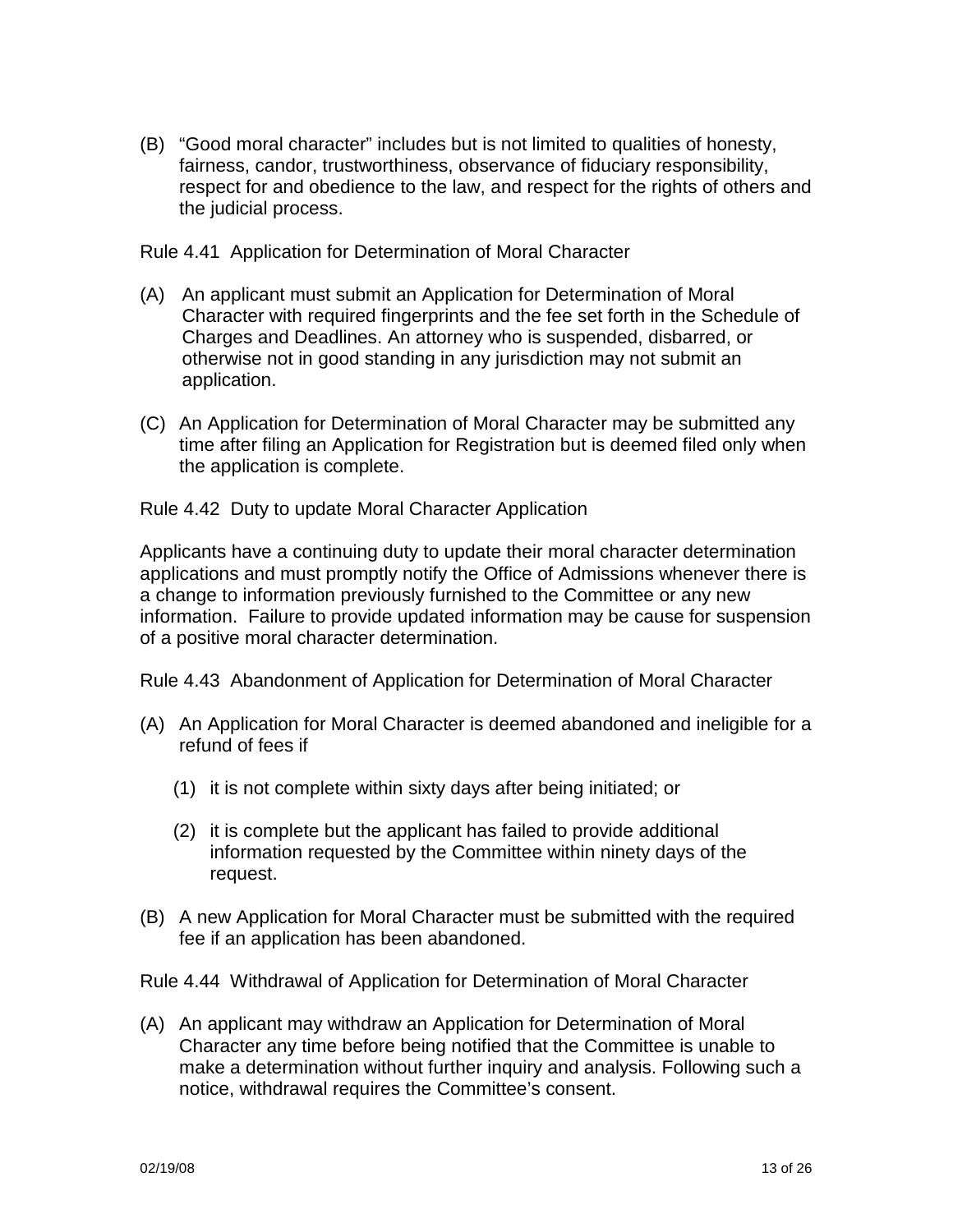(B) "Good moral character" includes but is not limited to qualities of honesty, fairness, candor, trustworthiness, observance of fiduciary responsibility, respect for and obedience to the law, and respect for the rights of others and the judicial process.

Rule 4.41 Application for Determination of Moral Character

- (A) An applicant must submit an Application for Determination of Moral Character with required fingerprints and the fee set forth in the Schedule of Charges and Deadlines. An attorney who is suspended, disbarred, or otherwise not in good standing in any jurisdiction may not submit an application.
- (C) An Application for Determination of Moral Character may be submitted any time after filing an Application for Registration but is deemed filed only when the application is complete.

Rule 4.42 Duty to update Moral Character Application

Applicants have a continuing duty to update their moral character determination applications and must promptly notify the Office of Admissions whenever there is a change to information previously furnished to the Committee or any new information. Failure to provide updated information may be cause for suspension of a positive moral character determination.

Rule 4.43 Abandonment of Application for Determination of Moral Character

- (A) An Application for Moral Character is deemed abandoned and ineligible for a refund of fees if
	- (1) it is not complete within sixty days after being initiated; or
	- (2) it is complete but the applicant has failed to provide additional information requested by the Committee within ninety days of the request.
- (B) A new Application for Moral Character must be submitted with the required fee if an application has been abandoned.

Rule 4.44 Withdrawal of Application for Determination of Moral Character

(A) An applicant may withdraw an Application for Determination of Moral Character any time before being notified that the Committee is unable to make a determination without further inquiry and analysis. Following such a notice, withdrawal requires the Committee's consent.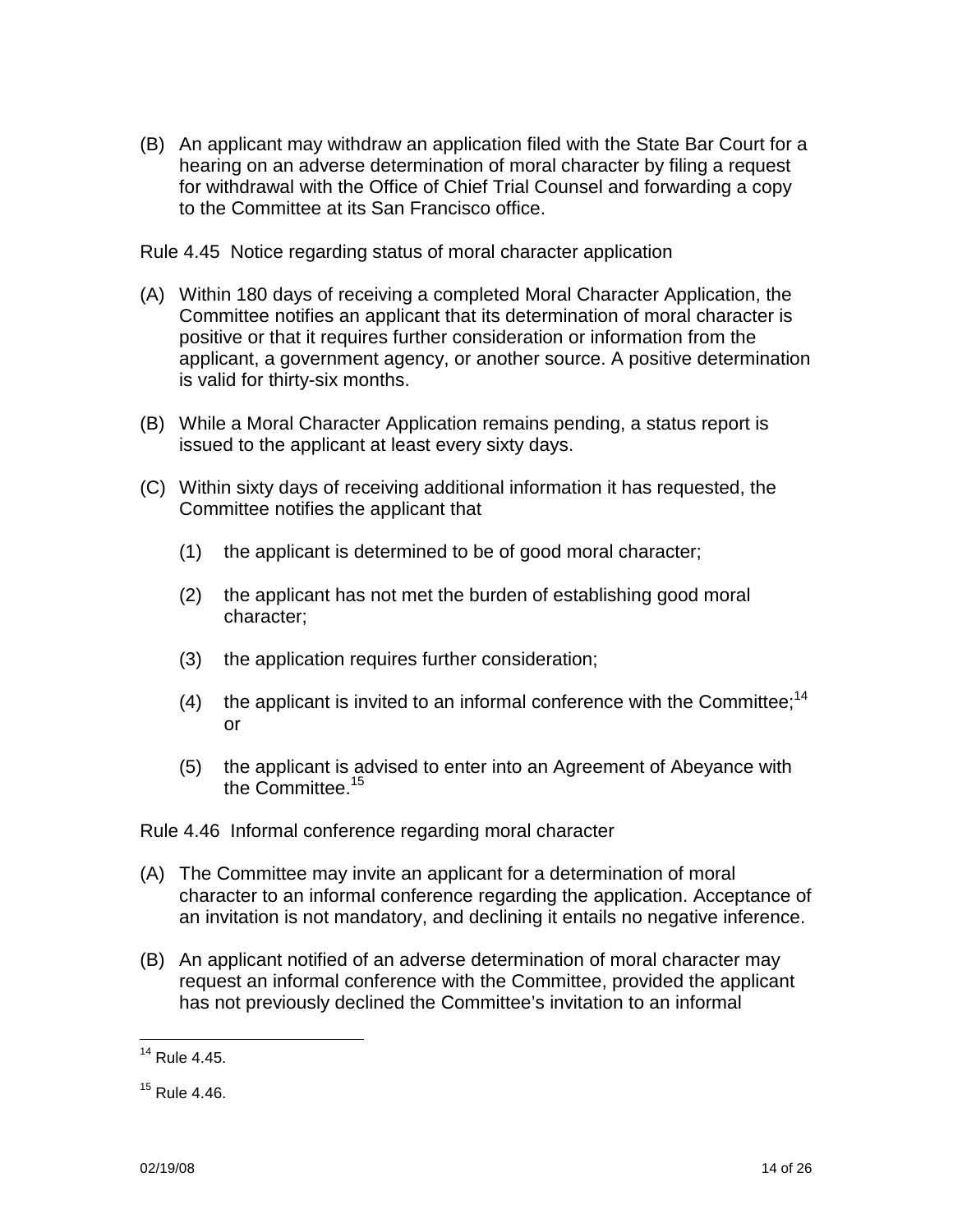(B) An applicant may withdraw an application filed with the State Bar Court for a hearing on an adverse determination of moral character by filing a request for withdrawal with the Office of Chief Trial Counsel and forwarding a copy to the Committee at its San Francisco office.

Rule 4.45 Notice regarding status of moral character application

- (A) Within 180 days of receiving a completed Moral Character Application, the Committee notifies an applicant that its determination of moral character is positive or that it requires further consideration or information from the applicant, a government agency, or another source. A positive determination is valid for thirty-six months.
- (B) While a Moral Character Application remains pending, a status report is issued to the applicant at least every sixty days.
- (C) Within sixty days of receiving additional information it has requested, the Committee notifies the applicant that
	- (1) the applicant is determined to be of good moral character;
	- (2) the applicant has not met the burden of establishing good moral character;
	- (3) the application requires further consideration;
	- (4) the applicant is invited to an informal conference with the Committee;<sup>14</sup> or
	- (5) the applicant is advised to enter into an Agreement of Abeyance with the Committee.<sup>15</sup>

Rule 4.46 Informal conference regarding moral character

- (A) The Committee may invite an applicant for a determination of moral character to an informal conference regarding the application. Acceptance of an invitation is not mandatory, and declining it entails no negative inference.
- (B) An applicant notified of an adverse determination of moral character may request an informal conference with the Committee, provided the applicant has not previously declined the Committee's invitation to an informal

<sup>14</sup> Rule 4.45.

 $15$  Rule 4.46.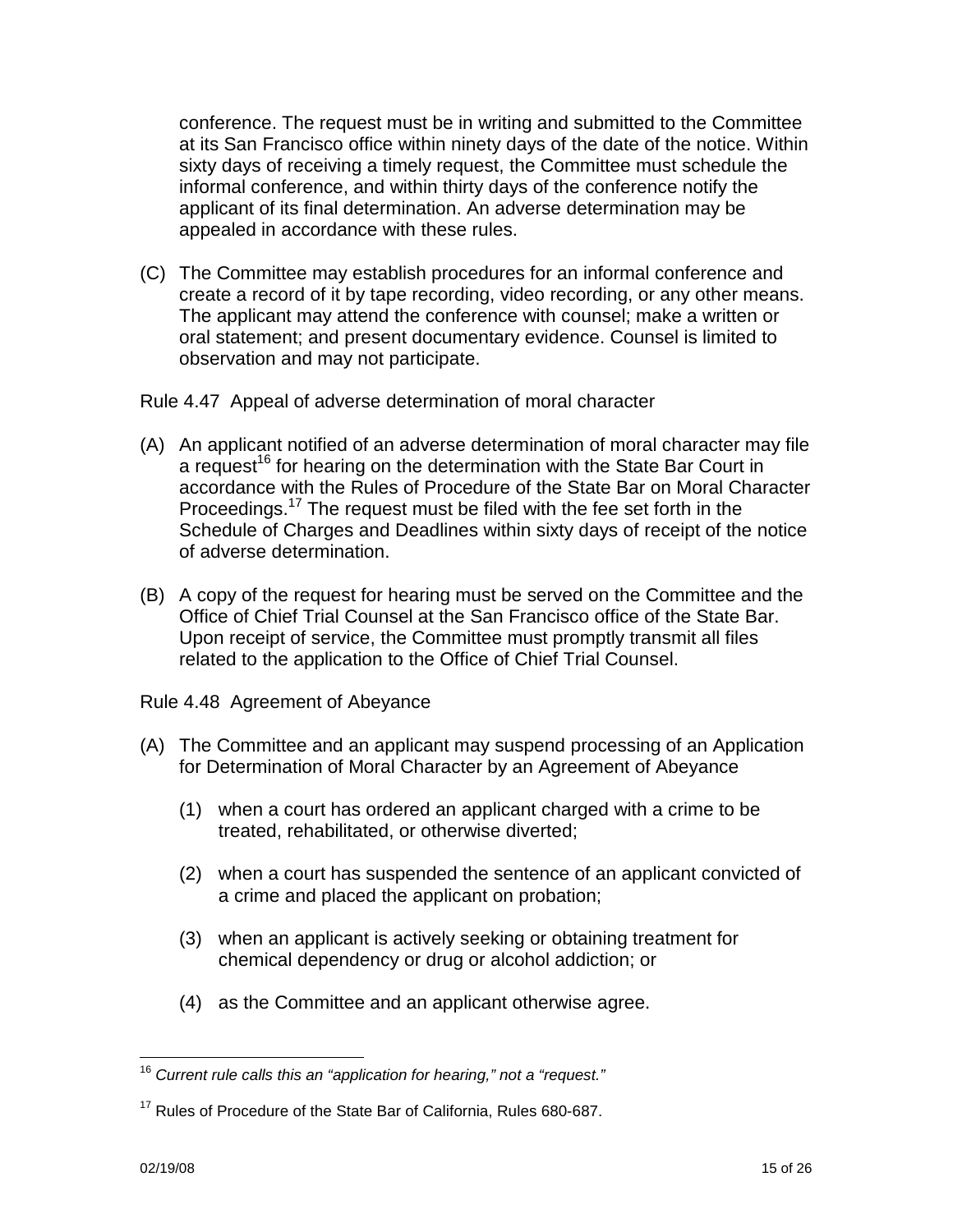conference. The request must be in writing and submitted to the Committee at its San Francisco office within ninety days of the date of the notice. Within sixty days of receiving a timely request, the Committee must schedule the informal conference, and within thirty days of the conference notify the applicant of its final determination. An adverse determination may be appealed in accordance with these rules.

(C) The Committee may establish procedures for an informal conference and create a record of it by tape recording, video recording, or any other means. The applicant may attend the conference with counsel; make a written or oral statement; and present documentary evidence. Counsel is limited to observation and may not participate.

Rule 4.47 Appeal of adverse determination of moral character

- (A) An applicant notified of an adverse determination of moral character may file a request<sup>16</sup> for hearing on the determination with the State Bar Court in accordance with the Rules of Procedure of the State Bar on Moral Character Proceedings.<sup>17</sup> The request must be filed with the fee set forth in the Schedule of Charges and Deadlines within sixty days of receipt of the notice of adverse determination.
- (B) A copy of the request for hearing must be served on the Committee and the Office of Chief Trial Counsel at the San Francisco office of the State Bar. Upon receipt of service, the Committee must promptly transmit all files related to the application to the Office of Chief Trial Counsel.
- Rule 4.48 Agreement of Abeyance
- (A) The Committee and an applicant may suspend processing of an Application for Determination of Moral Character by an Agreement of Abeyance
	- (1) when a court has ordered an applicant charged with a crime to be treated, rehabilitated, or otherwise diverted;
	- (2) when a court has suspended the sentence of an applicant convicted of a crime and placed the applicant on probation;
	- (3) when an applicant is actively seeking or obtaining treatment for chemical dependency or drug or alcohol addiction; or
	- (4) as the Committee and an applicant otherwise agree.

 $16$  Current rule calls this an "application for hearing," not a "request."

<sup>&</sup>lt;sup>17</sup> Rules of Procedure of the State Bar of California, Rules 680-687.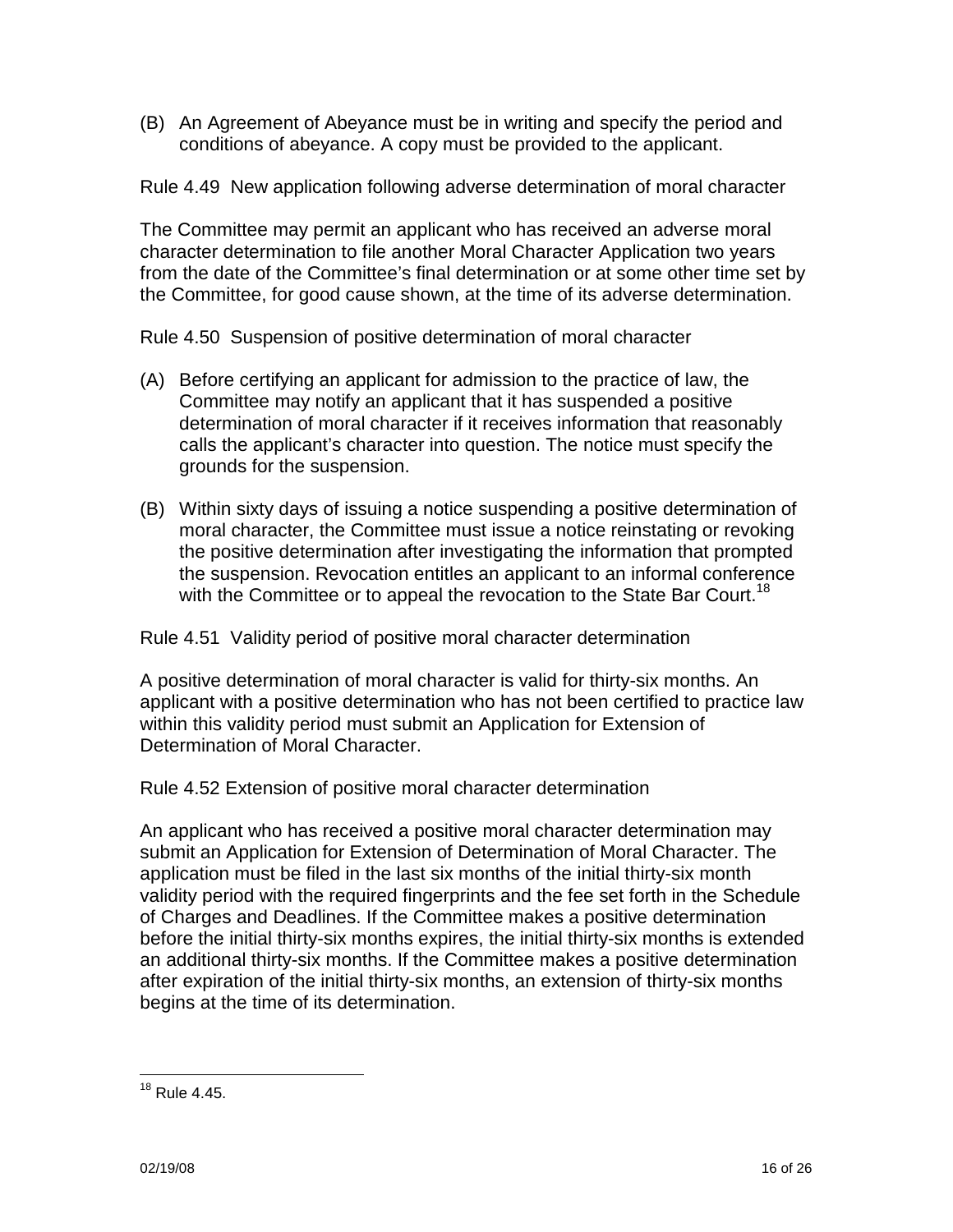(B) An Agreement of Abeyance must be in writing and specify the period and conditions of abeyance. A copy must be provided to the applicant.

Rule 4.49 New application following adverse determination of moral character

The Committee may permit an applicant who has received an adverse moral character determination to file another Moral Character Application two years from the date of the Committee's final determination or at some other time set by the Committee, for good cause shown, at the time of its adverse determination.

Rule 4.50 Suspension of positive determination of moral character

- (A) Before certifying an applicant for admission to the practice of law, the Committee may notify an applicant that it has suspended a positive determination of moral character if it receives information that reasonably calls the applicant's character into question. The notice must specify the grounds for the suspension.
- (B) Within sixty days of issuing a notice suspending a positive determination of moral character, the Committee must issue a notice reinstating or revoking the positive determination after investigating the information that prompted the suspension. Revocation entitles an applicant to an informal conference with the Committee or to appeal the revocation to the State Bar Court.<sup>18</sup>

Rule 4.51 Validity period of positive moral character determination

A positive determination of moral character is valid for thirty-six months. An applicant with a positive determination who has not been certified to practice law within this validity period must submit an Application for Extension of Determination of Moral Character.

Rule 4.52 Extension of positive moral character determination

An applicant who has received a positive moral character determination may submit an Application for Extension of Determination of Moral Character. The application must be filed in the last six months of the initial thirty-six month validity period with the required fingerprints and the fee set forth in the Schedule of Charges and Deadlines. If the Committee makes a positive determination before the initial thirty-six months expires, the initial thirty-six months is extended an additional thirty-six months. If the Committee makes a positive determination after expiration of the initial thirty-six months, an extension of thirty-six months begins at the time of its determination.

 $18$  Rule 4.45.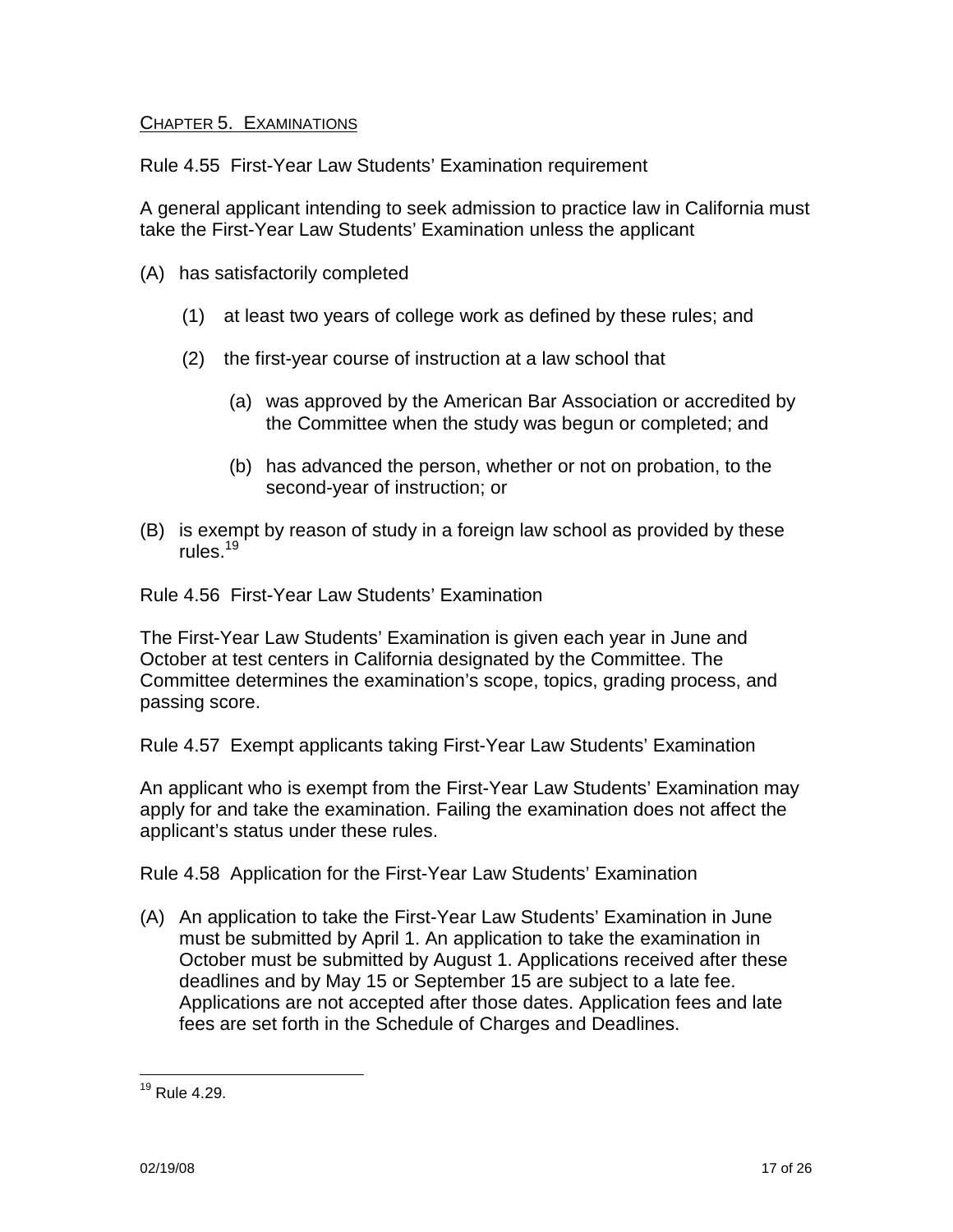# CHAPTER 5. EXAMINATIONS

Rule 4.55 First-Year Law Students' Examination requirement

A general applicant intending to seek admission to practice law in California must take the First-Year Law Students' Examination unless the applicant

- (A) has satisfactorily completed
	- (1) at least two years of college work as defined by these rules; and
	- (2) the first-year course of instruction at a law school that
		- (a) was approved by the American Bar Association or accredited by the Committee when the study was begun or completed; and
		- (b) has advanced the person, whether or not on probation, to the second-year of instruction; or
- (B) is exempt by reason of study in a foreign law school as provided by these rules.<sup>19</sup>

Rule 4.56 First-Year Law Students' Examination

The First-Year Law Students' Examination is given each year in June and October at test centers in California designated by the Committee. The Committee determines the examination's scope, topics, grading process, and passing score.

Rule 4.57 Exempt applicants taking First-Year Law Students' Examination

An applicant who is exempt from the First-Year Law Students' Examination may apply for and take the examination. Failing the examination does not affect the applicant's status under these rules.

Rule 4.58 Application for the First-Year Law Students' Examination

(A) An application to take the First-Year Law Students' Examination in June must be submitted by April 1. An application to take the examination in October must be submitted by August 1. Applications received after these deadlines and by May 15 or September 15 are subject to a late fee. Applications are not accepted after those dates. Application fees and late fees are set forth in the Schedule of Charges and Deadlines.

<sup>19</sup> Rule 4.29.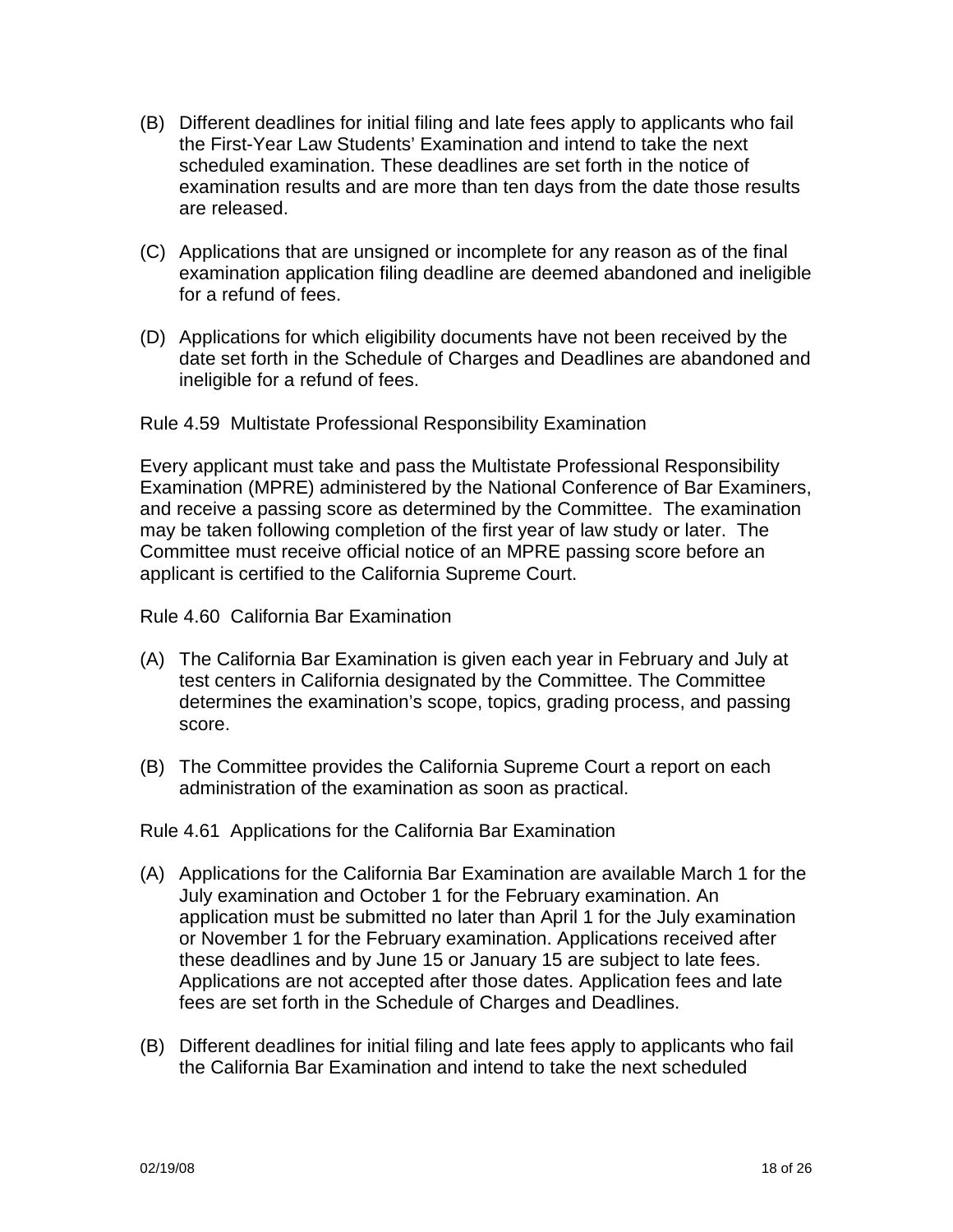- (B) Different deadlines for initial filing and late fees apply to applicants who fail the First-Year Law Students' Examination and intend to take the next scheduled examination. These deadlines are set forth in the notice of examination results and are more than ten days from the date those results are released.
- (C) Applications that are unsigned or incomplete for any reason as of the final examination application filing deadline are deemed abandoned and ineligible for a refund of fees.
- (D) Applications for which eligibility documents have not been received by the date set forth in the Schedule of Charges and Deadlines are abandoned and ineligible for a refund of fees.

Rule 4.59 Multistate Professional Responsibility Examination

Every applicant must take and pass the Multistate Professional Responsibility Examination (MPRE) administered by the National Conference of Bar Examiners, and receive a passing score as determined by the Committee. The examination may be taken following completion of the first year of law study or later. The Committee must receive official notice of an MPRE passing score before an applicant is certified to the California Supreme Court.

Rule 4.60 California Bar Examination

- (A) The California Bar Examination is given each year in February and July at test centers in California designated by the Committee. The Committee determines the examination's scope, topics, grading process, and passing score.
- (B) The Committee provides the California Supreme Court a report on each administration of the examination as soon as practical.

Rule 4.61 Applications for the California Bar Examination

- (A) Applications for the California Bar Examination are available March 1 for the July examination and October 1 for the February examination. An application must be submitted no later than April 1 for the July examination or November 1 for the February examination. Applications received after these deadlines and by June 15 or January 15 are subject to late fees. Applications are not accepted after those dates. Application fees and late fees are set forth in the Schedule of Charges and Deadlines.
- (B) Different deadlines for initial filing and late fees apply to applicants who fail the California Bar Examination and intend to take the next scheduled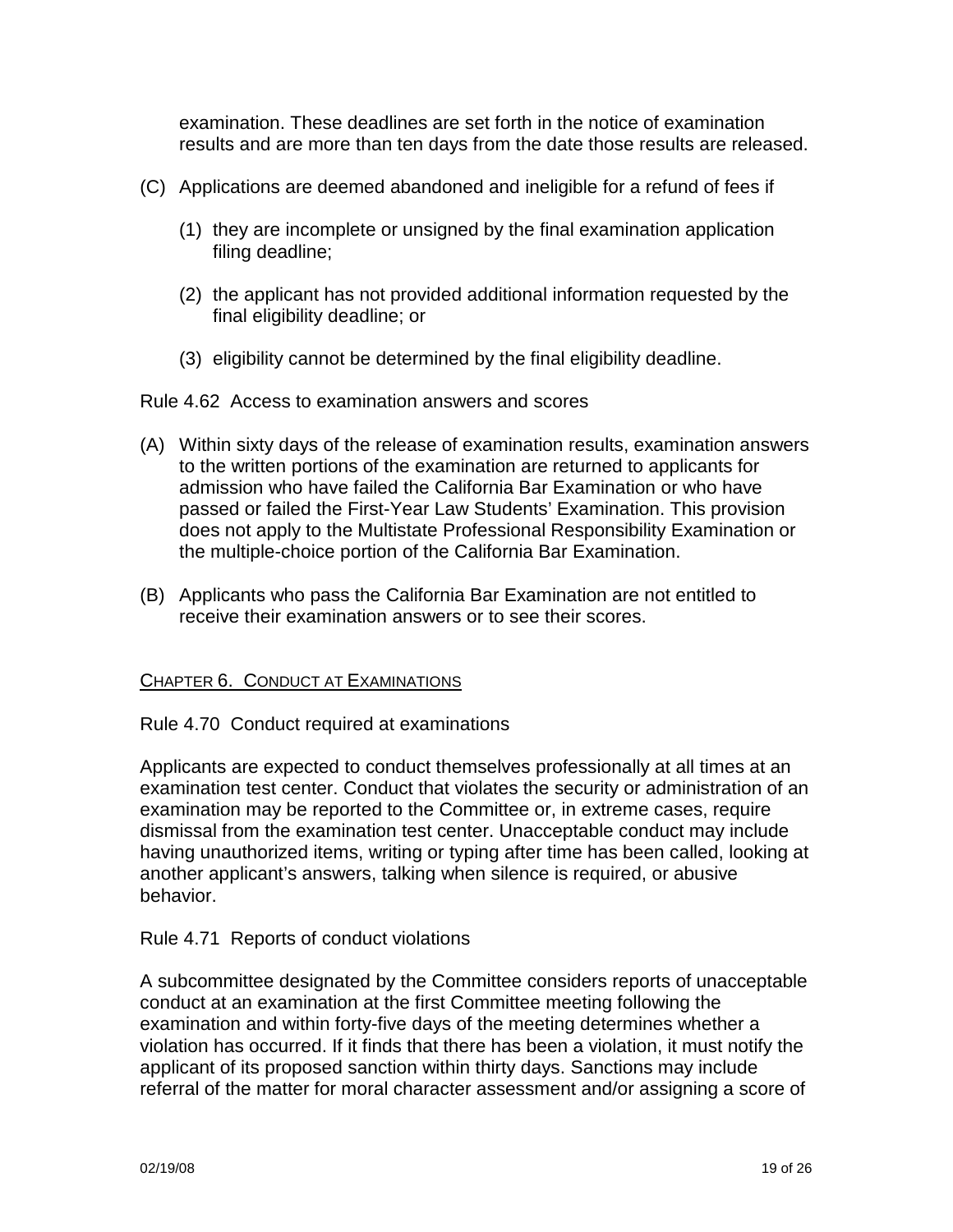examination. These deadlines are set forth in the notice of examination results and are more than ten days from the date those results are released.

- (C) Applications are deemed abandoned and ineligible for a refund of fees if
	- (1) they are incomplete or unsigned by the final examination application filing deadline;
	- (2) the applicant has not provided additional information requested by the final eligibility deadline; or
	- (3) eligibility cannot be determined by the final eligibility deadline.

Rule 4.62 Access to examination answers and scores

- (A) Within sixty days of the release of examination results, examination answers to the written portions of the examination are returned to applicants for admission who have failed the California Bar Examination or who have passed or failed the First-Year Law Students' Examination. This provision does not apply to the Multistate Professional Responsibility Examination or the multiple-choice portion of the California Bar Examination.
- (B) Applicants who pass the California Bar Examination are not entitled to receive their examination answers or to see their scores.

## CHAPTER 6. CONDUCT AT EXAMINATIONS

## Rule 4.70 Conduct required at examinations

Applicants are expected to conduct themselves professionally at all times at an examination test center. Conduct that violates the security or administration of an examination may be reported to the Committee or, in extreme cases, require dismissal from the examination test center. Unacceptable conduct may include having unauthorized items, writing or typing after time has been called, looking at another applicant's answers, talking when silence is required, or abusive behavior.

## Rule 4.71 Reports of conduct violations

A subcommittee designated by the Committee considers reports of unacceptable conduct at an examination at the first Committee meeting following the examination and within forty-five days of the meeting determines whether a violation has occurred. If it finds that there has been a violation, it must notify the applicant of its proposed sanction within thirty days. Sanctions may include referral of the matter for moral character assessment and/or assigning a score of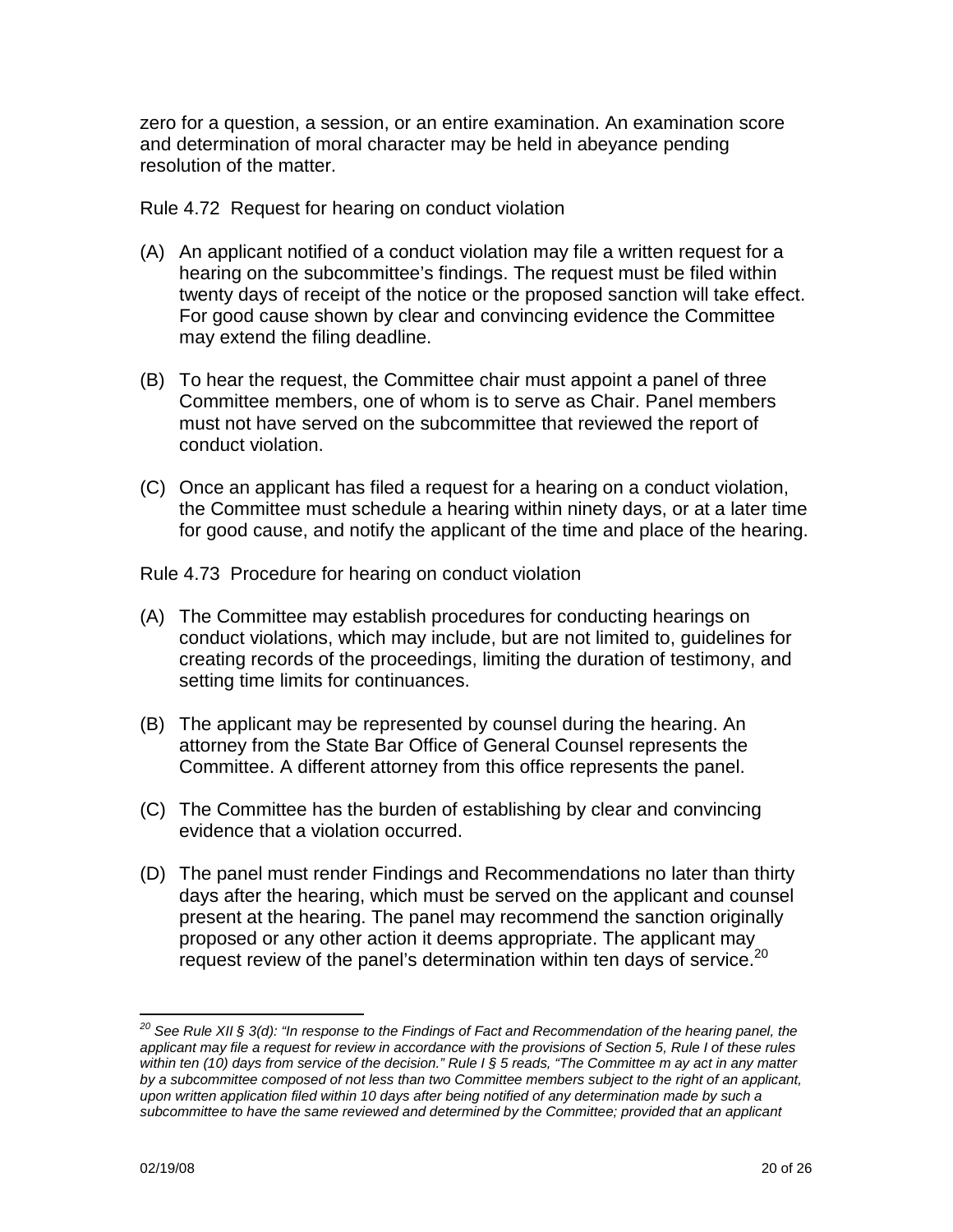zero for a question, a session, or an entire examination. An examination score and determination of moral character may be held in abeyance pending resolution of the matter.

Rule 4.72 Request for hearing on conduct violation

- (A) An applicant notified of a conduct violation may file a written request for a hearing on the subcommittee's findings. The request must be filed within twenty days of receipt of the notice or the proposed sanction will take effect. For good cause shown by clear and convincing evidence the Committee may extend the filing deadline.
- (B) To hear the request, the Committee chair must appoint a panel of three Committee members, one of whom is to serve as Chair. Panel members must not have served on the subcommittee that reviewed the report of conduct violation.
- (C) Once an applicant has filed a request for a hearing on a conduct violation, the Committee must schedule a hearing within ninety days, or at a later time for good cause, and notify the applicant of the time and place of the hearing.

Rule 4.73 Procedure for hearing on conduct violation

- (A) The Committee may establish procedures for conducting hearings on conduct violations, which may include, but are not limited to, guidelines for creating records of the proceedings, limiting the duration of testimony, and setting time limits for continuances.
- (B) The applicant may be represented by counsel during the hearing. An attorney from the State Bar Office of General Counsel represents the Committee. A different attorney from this office represents the panel.
- (C) The Committee has the burden of establishing by clear and convincing evidence that a violation occurred.
- (D) The panel must render Findings and Recommendations no later than thirty days after the hearing, which must be served on the applicant and counsel present at the hearing. The panel may recommend the sanction originally proposed or any other action it deems appropriate. The applicant may request review of the panel's determination within ten days of service.<sup>20</sup>

 $^{20}$  See Rule XII § 3(d): "In response to the Findings of Fact and Recommendation of the hearing panel, the applicant may file a request for review in accordance with the provisions of Section 5, Rule I of these rules within ten (10) days from service of the decision." Rule I § 5 reads, "The Committee m ay act in any matter by a subcommittee composed of not less than two Committee members subject to the right of an applicant, upon written application filed within 10 days after being notified of any determination made by such a subcommittee to have the same reviewed and determined by the Committee; provided that an applicant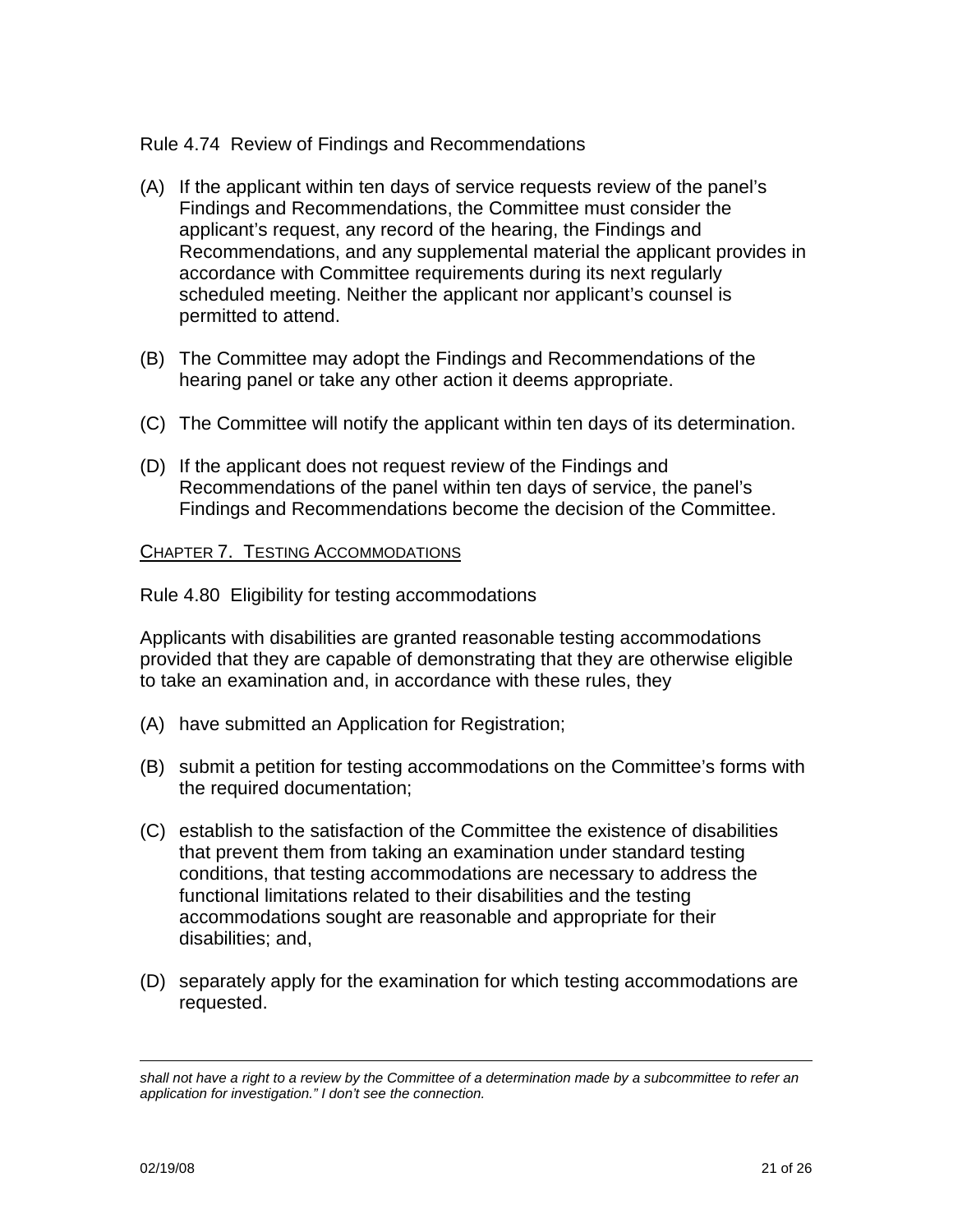# Rule 4.74 Review of Findings and Recommendations

- (A) If the applicant within ten days of service requests review of the panel's Findings and Recommendations, the Committee must consider the applicant's request, any record of the hearing, the Findings and Recommendations, and any supplemental material the applicant provides in accordance with Committee requirements during its next regularly scheduled meeting. Neither the applicant nor applicant's counsel is permitted to attend.
- (B) The Committee may adopt the Findings and Recommendations of the hearing panel or take any other action it deems appropriate.
- (C) The Committee will notify the applicant within ten days of its determination.
- (D) If the applicant does not request review of the Findings and Recommendations of the panel within ten days of service, the panel's Findings and Recommendations become the decision of the Committee.

## CHAPTER 7. TESTING ACCOMMODATIONS

Rule 4.80 Eligibility for testing accommodations

Applicants with disabilities are granted reasonable testing accommodations provided that they are capable of demonstrating that they are otherwise eligible to take an examination and, in accordance with these rules, they

- (A) have submitted an Application for Registration;
- (B) submit a petition for testing accommodations on the Committee's forms with the required documentation;
- (C) establish to the satisfaction of the Committee the existence of disabilities that prevent them from taking an examination under standard testing conditions, that testing accommodations are necessary to address the functional limitations related to their disabilities and the testing accommodations sought are reasonable and appropriate for their disabilities; and,
- (D) separately apply for the examination for which testing accommodations are requested.

shall not have a right to a review by the Committee of a determination made by a subcommittee to refer an application for investigation." I don't see the connection.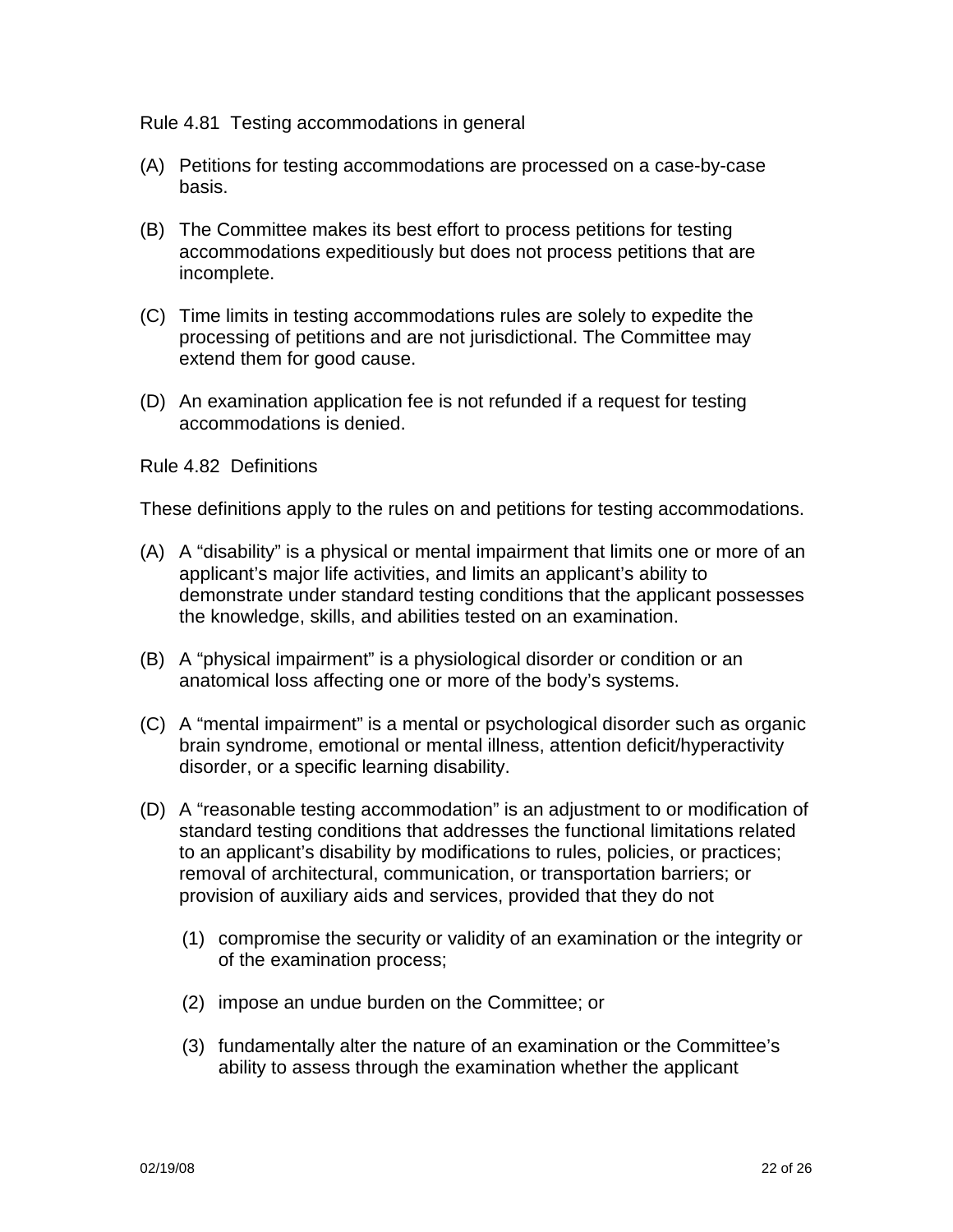#### Rule 4.81 Testing accommodations in general

- (A) Petitions for testing accommodations are processed on a case-by-case basis.
- (B) The Committee makes its best effort to process petitions for testing accommodations expeditiously but does not process petitions that are incomplete.
- (C) Time limits in testing accommodations rules are solely to expedite the processing of petitions and are not jurisdictional. The Committee may extend them for good cause.
- (D) An examination application fee is not refunded if a request for testing accommodations is denied.

#### Rule 4.82 Definitions

These definitions apply to the rules on and petitions for testing accommodations.

- (A) A "disability" is a physical or mental impairment that limits one or more of an applicant's major life activities, and limits an applicant's ability to demonstrate under standard testing conditions that the applicant possesses the knowledge, skills, and abilities tested on an examination.
- (B) A "physical impairment" is a physiological disorder or condition or an anatomical loss affecting one or more of the body's systems.
- (C) A "mental impairment" is a mental or psychological disorder such as organic brain syndrome, emotional or mental illness, attention deficit/hyperactivity disorder, or a specific learning disability.
- (D) A "reasonable testing accommodation" is an adjustment to or modification of standard testing conditions that addresses the functional limitations related to an applicant's disability by modifications to rules, policies, or practices; removal of architectural, communication, or transportation barriers; or provision of auxiliary aids and services, provided that they do not
	- (1) compromise the security or validity of an examination or the integrity or of the examination process;
	- (2) impose an undue burden on the Committee; or
	- (3) fundamentally alter the nature of an examination or the Committee's ability to assess through the examination whether the applicant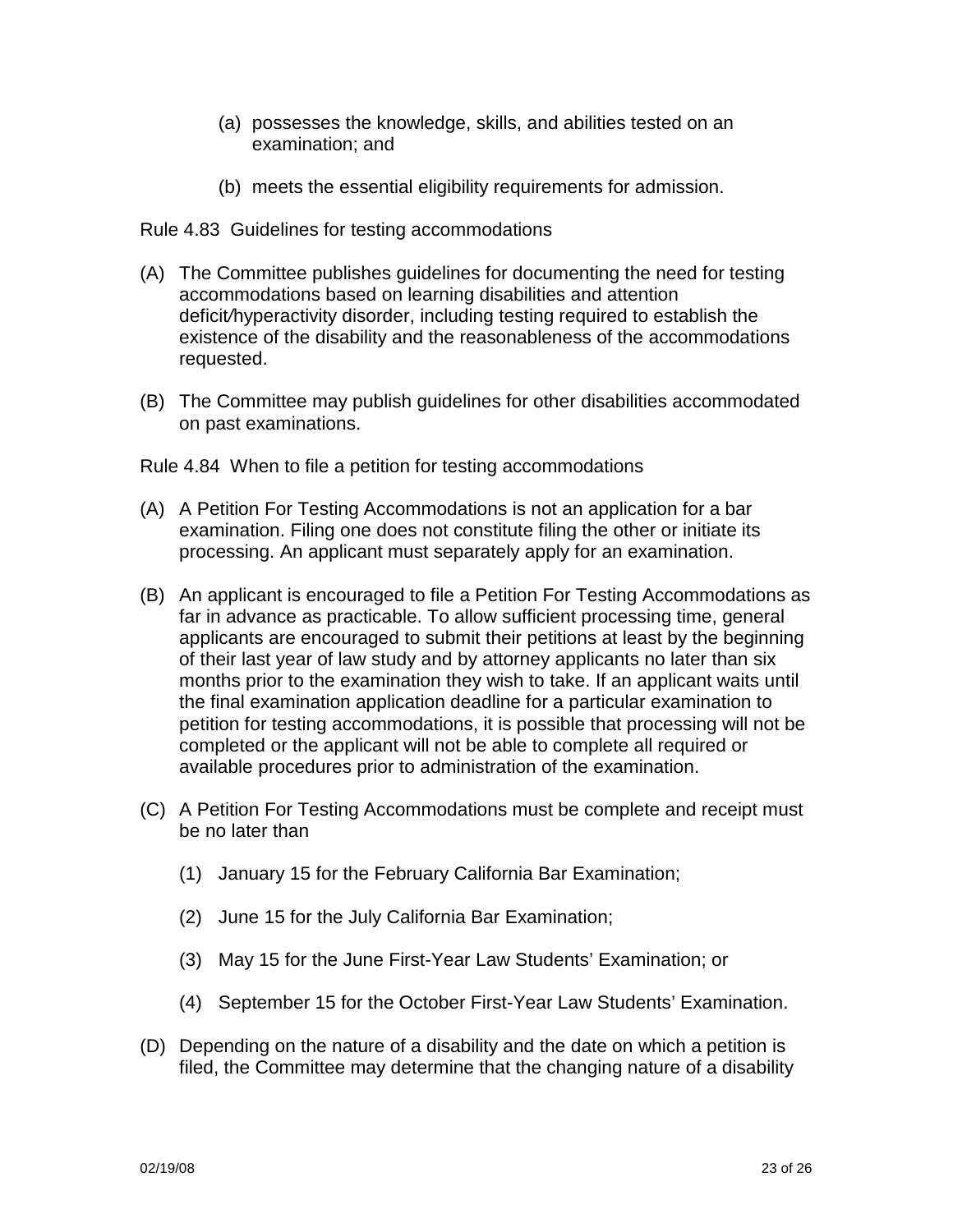- (a) possesses the knowledge, skills, and abilities tested on an examination; and
- (b) meets the essential eligibility requirements for admission.

Rule 4.83 Guidelines for testing accommodations

- (A) The Committee publishes guidelines for documenting the need for testing accommodations based on learning disabilities and attention deficit/hyperactivity disorder, including testing required to establish the existence of the disability and the reasonableness of the accommodations requested.
- (B) The Committee may publish guidelines for other disabilities accommodated on past examinations.

Rule 4.84 When to file a petition for testing accommodations

- (A) A Petition For Testing Accommodations is not an application for a bar examination. Filing one does not constitute filing the other or initiate its processing. An applicant must separately apply for an examination.
- (B) An applicant is encouraged to file a Petition For Testing Accommodations as far in advance as practicable. To allow sufficient processing time, general applicants are encouraged to submit their petitions at least by the beginning of their last year of law study and by attorney applicants no later than six months prior to the examination they wish to take. If an applicant waits until the final examination application deadline for a particular examination to petition for testing accommodations, it is possible that processing will not be completed or the applicant will not be able to complete all required or available procedures prior to administration of the examination.
- (C) A Petition For Testing Accommodations must be complete and receipt must be no later than
	- (1) January 15 for the February California Bar Examination;
	- (2) June 15 for the July California Bar Examination;
	- (3) May 15 for the June First-Year Law Students' Examination; or
	- (4) September 15 for the October First-Year Law Students' Examination.
- (D) Depending on the nature of a disability and the date on which a petition is filed, the Committee may determine that the changing nature of a disability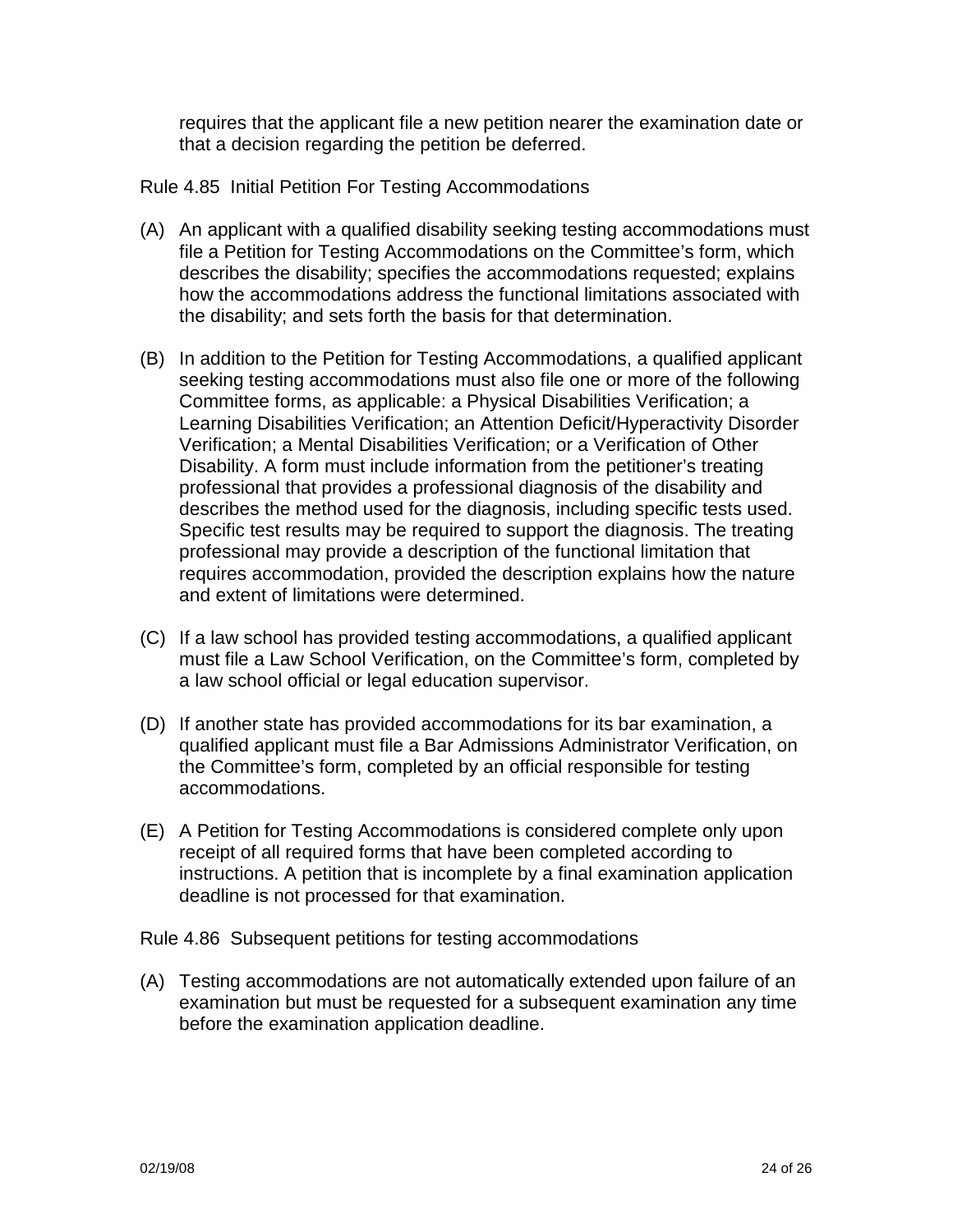requires that the applicant file a new petition nearer the examination date or that a decision regarding the petition be deferred.

Rule 4.85 Initial Petition For Testing Accommodations

- (A) An applicant with a qualified disability seeking testing accommodations must file a Petition for Testing Accommodations on the Committee's form, which describes the disability; specifies the accommodations requested; explains how the accommodations address the functional limitations associated with the disability; and sets forth the basis for that determination.
- (B) In addition to the Petition for Testing Accommodations, a qualified applicant seeking testing accommodations must also file one or more of the following Committee forms, as applicable: a Physical Disabilities Verification; a Learning Disabilities Verification; an Attention Deficit/Hyperactivity Disorder Verification; a Mental Disabilities Verification; or a Verification of Other Disability. A form must include information from the petitioner's treating professional that provides a professional diagnosis of the disability and describes the method used for the diagnosis, including specific tests used. Specific test results may be required to support the diagnosis. The treating professional may provide a description of the functional limitation that requires accommodation, provided the description explains how the nature and extent of limitations were determined.
- (C) If a law school has provided testing accommodations, a qualified applicant must file a Law School Verification, on the Committee's form, completed by a law school official or legal education supervisor.
- (D) If another state has provided accommodations for its bar examination, a qualified applicant must file a Bar Admissions Administrator Verification, on the Committee's form, completed by an official responsible for testing accommodations.
- (E) A Petition for Testing Accommodations is considered complete only upon receipt of all required forms that have been completed according to instructions. A petition that is incomplete by a final examination application deadline is not processed for that examination.

Rule 4.86 Subsequent petitions for testing accommodations

(A) Testing accommodations are not automatically extended upon failure of an examination but must be requested for a subsequent examination any time before the examination application deadline.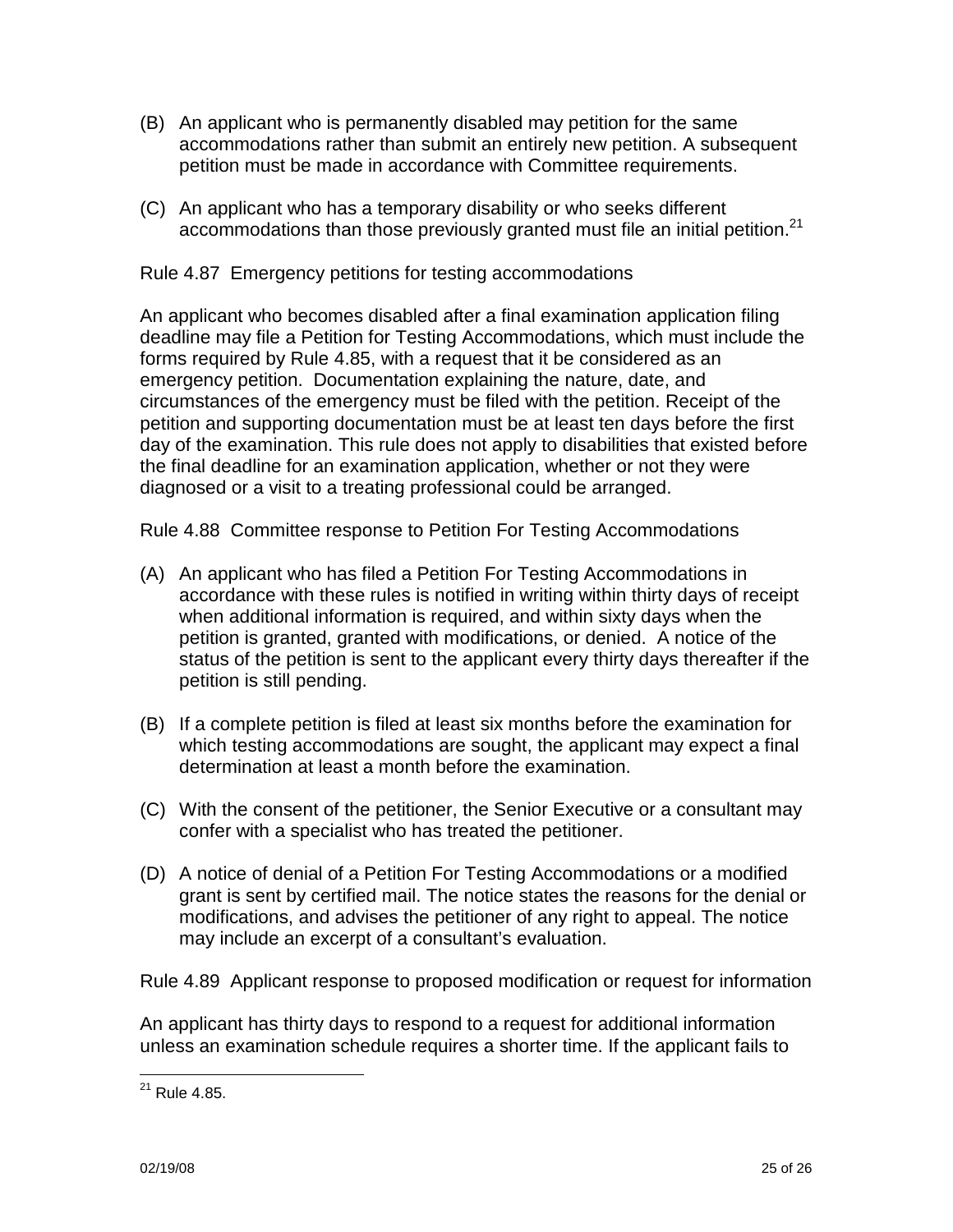- (B) An applicant who is permanently disabled may petition for the same accommodations rather than submit an entirely new petition. A subsequent petition must be made in accordance with Committee requirements.
- (C) An applicant who has a temporary disability or who seeks different accommodations than those previously granted must file an initial petition.<sup>21</sup>

Rule 4.87 Emergency petitions for testing accommodations

An applicant who becomes disabled after a final examination application filing deadline may file a Petition for Testing Accommodations, which must include the forms required by Rule 4.85, with a request that it be considered as an emergency petition. Documentation explaining the nature, date, and circumstances of the emergency must be filed with the petition. Receipt of the petition and supporting documentation must be at least ten days before the first day of the examination. This rule does not apply to disabilities that existed before the final deadline for an examination application, whether or not they were diagnosed or a visit to a treating professional could be arranged.

Rule 4.88 Committee response to Petition For Testing Accommodations

- (A) An applicant who has filed a Petition For Testing Accommodations in accordance with these rules is notified in writing within thirty days of receipt when additional information is required, and within sixty days when the petition is granted, granted with modifications, or denied. A notice of the status of the petition is sent to the applicant every thirty days thereafter if the petition is still pending.
- (B) If a complete petition is filed at least six months before the examination for which testing accommodations are sought, the applicant may expect a final determination at least a month before the examination.
- (C) With the consent of the petitioner, the Senior Executive or a consultant may confer with a specialist who has treated the petitioner.
- (D) A notice of denial of a Petition For Testing Accommodations or a modified grant is sent by certified mail. The notice states the reasons for the denial or modifications, and advises the petitioner of any right to appeal. The notice may include an excerpt of a consultant's evaluation.

Rule 4.89 Applicant response to proposed modification or request for information

An applicant has thirty days to respond to a request for additional information unless an examination schedule requires a shorter time. If the applicant fails to

 $21$  Rule 4.85.